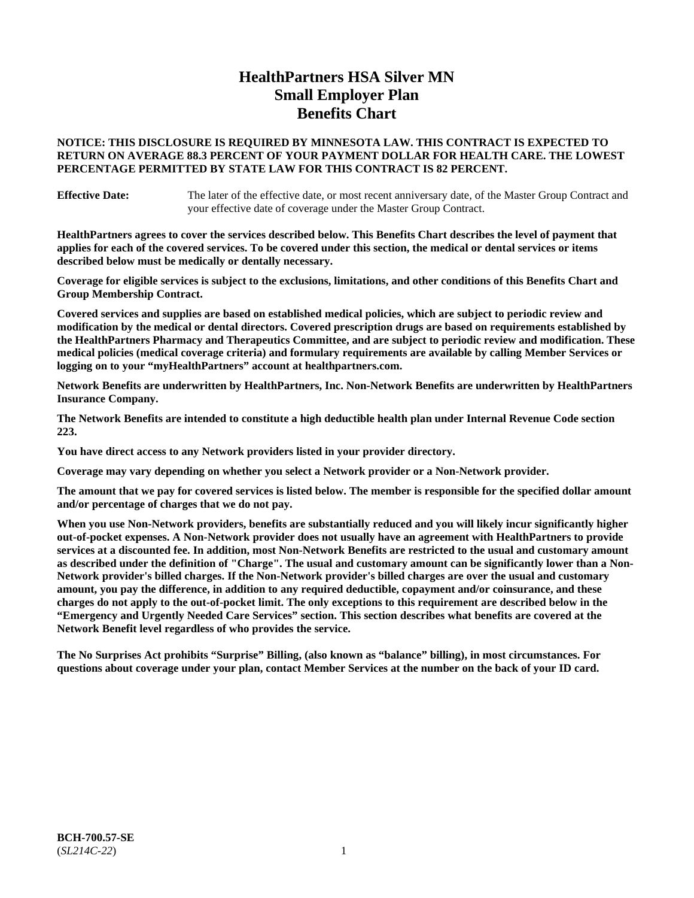# **HealthPartners HSA Silver MN Small Employer Plan Benefits Chart**

### **NOTICE: THIS DISCLOSURE IS REQUIRED BY MINNESOTA LAW. THIS CONTRACT IS EXPECTED TO RETURN ON AVERAGE 88.3 PERCENT OF YOUR PAYMENT DOLLAR FOR HEALTH CARE. THE LOWEST PERCENTAGE PERMITTED BY STATE LAW FOR THIS CONTRACT IS 82 PERCENT.**

**Effective Date:** The later of the effective date, or most recent anniversary date, of the Master Group Contract and your effective date of coverage under the Master Group Contract.

**HealthPartners agrees to cover the services described below. This Benefits Chart describes the level of payment that applies for each of the covered services. To be covered under this section, the medical or dental services or items described below must be medically or dentally necessary.**

**Coverage for eligible services is subject to the exclusions, limitations, and other conditions of this Benefits Chart and Group Membership Contract.**

**Covered services and supplies are based on established medical policies, which are subject to periodic review and modification by the medical or dental directors. Covered prescription drugs are based on requirements established by the HealthPartners Pharmacy and Therapeutics Committee, and are subject to periodic review and modification. These medical policies (medical coverage criteria) and formulary requirements are available by calling Member Services or logging on to your "myHealthPartners" account at [healthpartners.com.](https://www.healthpartners.com/hp/index.html)**

**Network Benefits are underwritten by HealthPartners, Inc. Non-Network Benefits are underwritten by HealthPartners Insurance Company.** 

**The Network Benefits are intended to constitute a high deductible health plan under Internal Revenue Code section 223.** 

**You have direct access to any Network providers listed in your provider directory.**

**Coverage may vary depending on whether you select a Network provider or a Non-Network provider.**

**The amount that we pay for covered services is listed below. The member is responsible for the specified dollar amount and/or percentage of charges that we do not pay.**

**When you use Non-Network providers, benefits are substantially reduced and you will likely incur significantly higher out-of-pocket expenses. A Non-Network provider does not usually have an agreement with HealthPartners to provide services at a discounted fee. In addition, most Non-Network Benefits are restricted to the usual and customary amount as described under the definition of "Charge". The usual and customary amount can be significantly lower than a Non-Network provider's billed charges. If the Non-Network provider's billed charges are over the usual and customary amount, you pay the difference, in addition to any required deductible, copayment and/or coinsurance, and these charges do not apply to the out-of-pocket limit. The only exceptions to this requirement are described below in the "Emergency and Urgently Needed Care Services" section. This section describes what benefits are covered at the Network Benefit level regardless of who provides the service.**

**The No Surprises Act prohibits "Surprise" Billing, (also known as "balance" billing), in most circumstances. For questions about coverage under your plan, contact Member Services at the number on the back of your ID card.**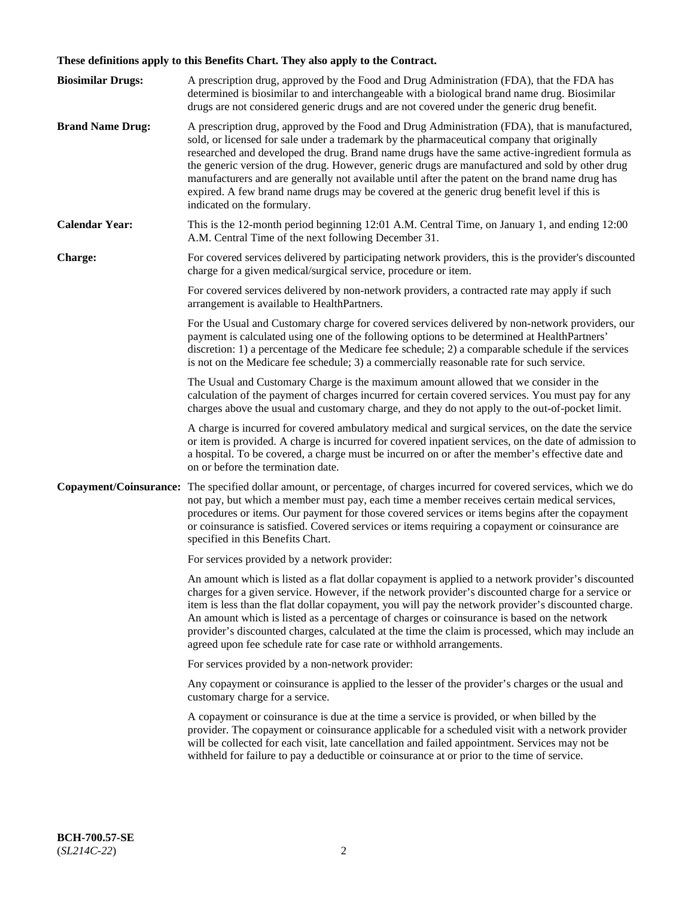# **These definitions apply to this Benefits Chart. They also apply to the Contract.**

| <b>Biosimilar Drugs:</b> | A prescription drug, approved by the Food and Drug Administration (FDA), that the FDA has<br>determined is biosimilar to and interchangeable with a biological brand name drug. Biosimilar<br>drugs are not considered generic drugs and are not covered under the generic drug benefit.                                                                                                                                                                                                                                                                                                                                           |
|--------------------------|------------------------------------------------------------------------------------------------------------------------------------------------------------------------------------------------------------------------------------------------------------------------------------------------------------------------------------------------------------------------------------------------------------------------------------------------------------------------------------------------------------------------------------------------------------------------------------------------------------------------------------|
| <b>Brand Name Drug:</b>  | A prescription drug, approved by the Food and Drug Administration (FDA), that is manufactured,<br>sold, or licensed for sale under a trademark by the pharmaceutical company that originally<br>researched and developed the drug. Brand name drugs have the same active-ingredient formula as<br>the generic version of the drug. However, generic drugs are manufactured and sold by other drug<br>manufacturers and are generally not available until after the patent on the brand name drug has<br>expired. A few brand name drugs may be covered at the generic drug benefit level if this is<br>indicated on the formulary. |
| <b>Calendar Year:</b>    | This is the 12-month period beginning 12:01 A.M. Central Time, on January 1, and ending 12:00<br>A.M. Central Time of the next following December 31.                                                                                                                                                                                                                                                                                                                                                                                                                                                                              |
| <b>Charge:</b>           | For covered services delivered by participating network providers, this is the provider's discounted<br>charge for a given medical/surgical service, procedure or item.                                                                                                                                                                                                                                                                                                                                                                                                                                                            |
|                          | For covered services delivered by non-network providers, a contracted rate may apply if such<br>arrangement is available to HealthPartners.                                                                                                                                                                                                                                                                                                                                                                                                                                                                                        |
|                          | For the Usual and Customary charge for covered services delivered by non-network providers, our<br>payment is calculated using one of the following options to be determined at HealthPartners'<br>discretion: 1) a percentage of the Medicare fee schedule; 2) a comparable schedule if the services<br>is not on the Medicare fee schedule; 3) a commercially reasonable rate for such service.                                                                                                                                                                                                                                  |
|                          | The Usual and Customary Charge is the maximum amount allowed that we consider in the<br>calculation of the payment of charges incurred for certain covered services. You must pay for any<br>charges above the usual and customary charge, and they do not apply to the out-of-pocket limit.                                                                                                                                                                                                                                                                                                                                       |
|                          | A charge is incurred for covered ambulatory medical and surgical services, on the date the service<br>or item is provided. A charge is incurred for covered inpatient services, on the date of admission to<br>a hospital. To be covered, a charge must be incurred on or after the member's effective date and<br>on or before the termination date.                                                                                                                                                                                                                                                                              |
| Copayment/Coinsurance:   | The specified dollar amount, or percentage, of charges incurred for covered services, which we do<br>not pay, but which a member must pay, each time a member receives certain medical services,<br>procedures or items. Our payment for those covered services or items begins after the copayment<br>or coinsurance is satisfied. Covered services or items requiring a copayment or coinsurance are<br>specified in this Benefits Chart.                                                                                                                                                                                        |
|                          | For services provided by a network provider:                                                                                                                                                                                                                                                                                                                                                                                                                                                                                                                                                                                       |
|                          | An amount which is listed as a flat dollar copayment is applied to a network provider's discounted<br>charges for a given service. However, if the network provider's discounted charge for a service or<br>item is less than the flat dollar copayment, you will pay the network provider's discounted charge.<br>An amount which is listed as a percentage of charges or coinsurance is based on the network<br>provider's discounted charges, calculated at the time the claim is processed, which may include an<br>agreed upon fee schedule rate for case rate or withhold arrangements.                                      |
|                          | For services provided by a non-network provider:                                                                                                                                                                                                                                                                                                                                                                                                                                                                                                                                                                                   |
|                          | Any copayment or coinsurance is applied to the lesser of the provider's charges or the usual and<br>customary charge for a service.                                                                                                                                                                                                                                                                                                                                                                                                                                                                                                |
|                          | A copayment or coinsurance is due at the time a service is provided, or when billed by the<br>provider. The copayment or coinsurance applicable for a scheduled visit with a network provider<br>will be collected for each visit, late cancellation and failed appointment. Services may not be<br>withheld for failure to pay a deductible or coinsurance at or prior to the time of service.                                                                                                                                                                                                                                    |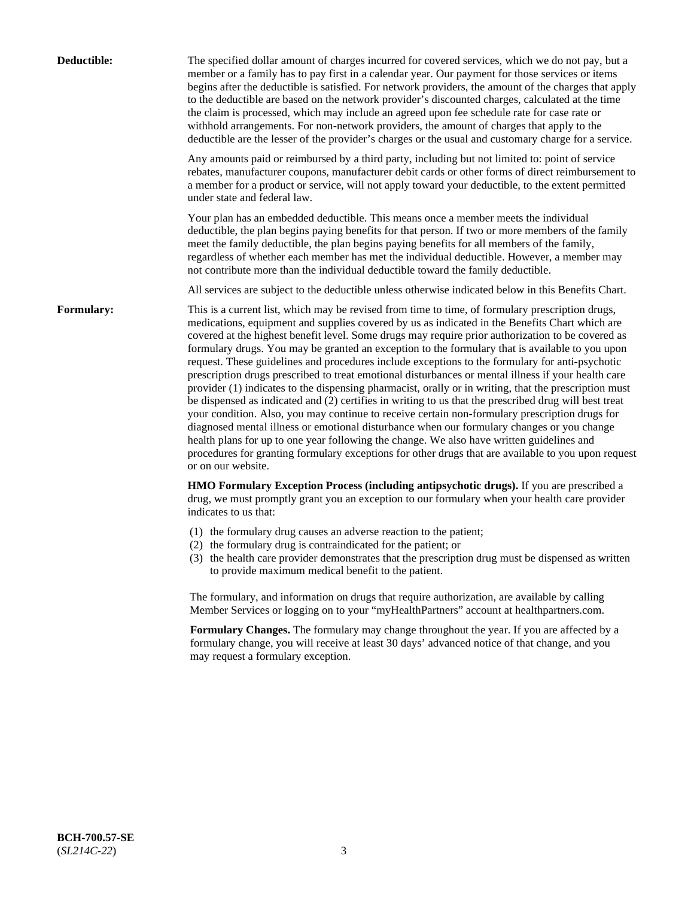| Deductible: | The specified dollar amount of charges incurred for covered services, which we do not pay, but a<br>member or a family has to pay first in a calendar year. Our payment for those services or items<br>begins after the deductible is satisfied. For network providers, the amount of the charges that apply<br>to the deductible are based on the network provider's discounted charges, calculated at the time<br>the claim is processed, which may include an agreed upon fee schedule rate for case rate or<br>withhold arrangements. For non-network providers, the amount of charges that apply to the<br>deductible are the lesser of the provider's charges or the usual and customary charge for a service.                                                                                                                                                                                                                                                                                                                                                                                                                                                                                                                                             |
|-------------|------------------------------------------------------------------------------------------------------------------------------------------------------------------------------------------------------------------------------------------------------------------------------------------------------------------------------------------------------------------------------------------------------------------------------------------------------------------------------------------------------------------------------------------------------------------------------------------------------------------------------------------------------------------------------------------------------------------------------------------------------------------------------------------------------------------------------------------------------------------------------------------------------------------------------------------------------------------------------------------------------------------------------------------------------------------------------------------------------------------------------------------------------------------------------------------------------------------------------------------------------------------|
|             | Any amounts paid or reimbursed by a third party, including but not limited to: point of service<br>rebates, manufacturer coupons, manufacturer debit cards or other forms of direct reimbursement to<br>a member for a product or service, will not apply toward your deductible, to the extent permitted<br>under state and federal law.                                                                                                                                                                                                                                                                                                                                                                                                                                                                                                                                                                                                                                                                                                                                                                                                                                                                                                                        |
|             | Your plan has an embedded deductible. This means once a member meets the individual<br>deductible, the plan begins paying benefits for that person. If two or more members of the family<br>meet the family deductible, the plan begins paying benefits for all members of the family,<br>regardless of whether each member has met the individual deductible. However, a member may<br>not contribute more than the individual deductible toward the family deductible.                                                                                                                                                                                                                                                                                                                                                                                                                                                                                                                                                                                                                                                                                                                                                                                         |
|             | All services are subject to the deductible unless otherwise indicated below in this Benefits Chart.                                                                                                                                                                                                                                                                                                                                                                                                                                                                                                                                                                                                                                                                                                                                                                                                                                                                                                                                                                                                                                                                                                                                                              |
| Formulary:  | This is a current list, which may be revised from time to time, of formulary prescription drugs,<br>medications, equipment and supplies covered by us as indicated in the Benefits Chart which are<br>covered at the highest benefit level. Some drugs may require prior authorization to be covered as<br>formulary drugs. You may be granted an exception to the formulary that is available to you upon<br>request. These guidelines and procedures include exceptions to the formulary for anti-psychotic<br>prescription drugs prescribed to treat emotional disturbances or mental illness if your health care<br>provider (1) indicates to the dispensing pharmacist, orally or in writing, that the prescription must<br>be dispensed as indicated and (2) certifies in writing to us that the prescribed drug will best treat<br>your condition. Also, you may continue to receive certain non-formulary prescription drugs for<br>diagnosed mental illness or emotional disturbance when our formulary changes or you change<br>health plans for up to one year following the change. We also have written guidelines and<br>procedures for granting formulary exceptions for other drugs that are available to you upon request<br>or on our website. |
|             | HMO Formulary Exception Process (including antipsychotic drugs). If you are prescribed a<br>drug, we must promptly grant you an exception to our formulary when your health care provider<br>indicates to us that:                                                                                                                                                                                                                                                                                                                                                                                                                                                                                                                                                                                                                                                                                                                                                                                                                                                                                                                                                                                                                                               |
|             | (1) the formulary drug causes an adverse reaction to the patient;<br>(2) the formulary drug is contraindicated for the patient; or<br>(3) the health care provider demonstrates that the prescription drug must be dispensed as written<br>to provide maximum medical benefit to the patient.                                                                                                                                                                                                                                                                                                                                                                                                                                                                                                                                                                                                                                                                                                                                                                                                                                                                                                                                                                    |
|             | The formulary, and information on drugs that require authorization, are available by calling<br>Member Services or logging on to your "myHealthPartners" account at healthpartners.com.                                                                                                                                                                                                                                                                                                                                                                                                                                                                                                                                                                                                                                                                                                                                                                                                                                                                                                                                                                                                                                                                          |
|             | Formulary Changes. The formulary may change throughout the year. If you are affected by a<br>formulary change, you will receive at least 30 days' advanced notice of that change, and you<br>may request a formulary exception.                                                                                                                                                                                                                                                                                                                                                                                                                                                                                                                                                                                                                                                                                                                                                                                                                                                                                                                                                                                                                                  |
|             |                                                                                                                                                                                                                                                                                                                                                                                                                                                                                                                                                                                                                                                                                                                                                                                                                                                                                                                                                                                                                                                                                                                                                                                                                                                                  |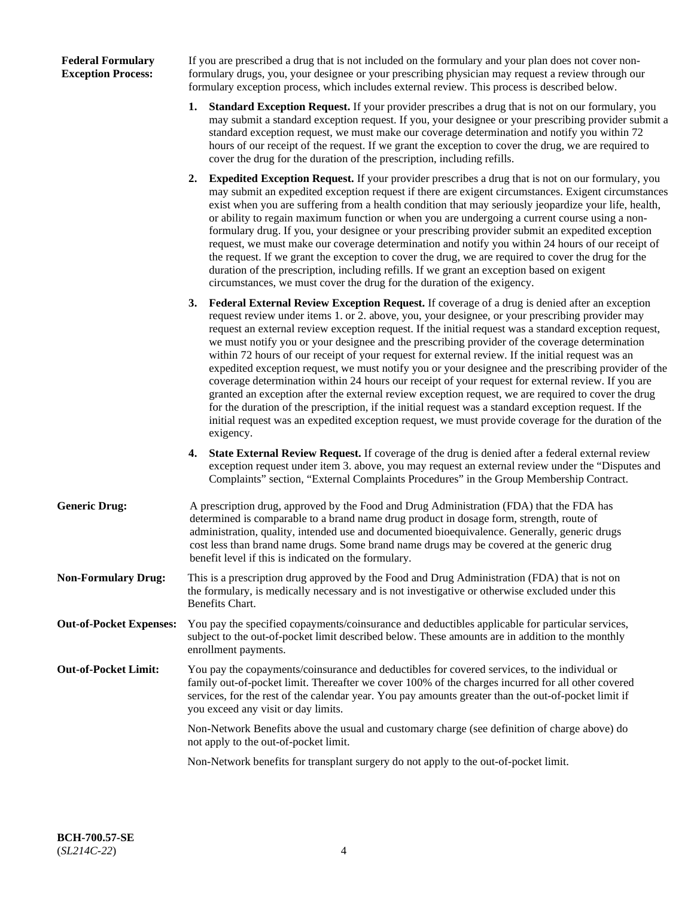### **Federal Formulary Exception Process:**

If you are prescribed a drug that is not included on the formulary and your plan does not cover nonformulary drugs, you, your designee or your prescribing physician may request a review through our formulary exception process, which includes external review. This process is described below.

- **1. Standard Exception Request.** If your provider prescribes a drug that is not on our formulary, you may submit a standard exception request. If you, your designee or your prescribing provider submit a standard exception request, we must make our coverage determination and notify you within 72 hours of our receipt of the request. If we grant the exception to cover the drug, we are required to cover the drug for the duration of the prescription, including refills.
- **2. Expedited Exception Request.** If your provider prescribes a drug that is not on our formulary, you may submit an expedited exception request if there are exigent circumstances. Exigent circumstances exist when you are suffering from a health condition that may seriously jeopardize your life, health, or ability to regain maximum function or when you are undergoing a current course using a nonformulary drug. If you, your designee or your prescribing provider submit an expedited exception request, we must make our coverage determination and notify you within 24 hours of our receipt of the request. If we grant the exception to cover the drug, we are required to cover the drug for the duration of the prescription, including refills. If we grant an exception based on exigent circumstances, we must cover the drug for the duration of the exigency.
- **3. Federal External Review Exception Request.** If coverage of a drug is denied after an exception request review under items 1. or 2. above, you, your designee, or your prescribing provider may request an external review exception request. If the initial request was a standard exception request, we must notify you or your designee and the prescribing provider of the coverage determination within 72 hours of our receipt of your request for external review. If the initial request was an expedited exception request, we must notify you or your designee and the prescribing provider of the coverage determination within 24 hours our receipt of your request for external review. If you are granted an exception after the external review exception request, we are required to cover the drug for the duration of the prescription, if the initial request was a standard exception request. If the initial request was an expedited exception request, we must provide coverage for the duration of the exigency.
- **4. State External Review Request.** If coverage of the drug is denied after a federal external review exception request under item 3. above, you may request an external review under the "Disputes and Complaints" section, "External Complaints Procedures" in the Group Membership Contract.
- **Generic Drug:** A prescription drug, approved by the Food and Drug Administration (FDA) that the FDA has determined is comparable to a brand name drug product in dosage form, strength, route of administration, quality, intended use and documented bioequivalence. Generally, generic drugs cost less than brand name drugs. Some brand name drugs may be covered at the generic drug benefit level if this is indicated on the formulary.
- **Non-Formulary Drug:** This is a prescription drug approved by the Food and Drug Administration (FDA) that is not on the formulary, is medically necessary and is not investigative or otherwise excluded under this Benefits Chart.
- **Out-of-Pocket Expenses:** You pay the specified copayments/coinsurance and deductibles applicable for particular services, subject to the out-of-pocket limit described below. These amounts are in addition to the monthly enrollment payments.
- **Out-of-Pocket Limit:** You pay the copayments/coinsurance and deductibles for covered services, to the individual or family out-of-pocket limit. Thereafter we cover 100% of the charges incurred for all other covered services, for the rest of the calendar year. You pay amounts greater than the out-of-pocket limit if you exceed any visit or day limits.

Non-Network Benefits above the usual and customary charge (see definition of charge above) do not apply to the out-of-pocket limit.

Non-Network benefits for transplant surgery do not apply to the out-of-pocket limit.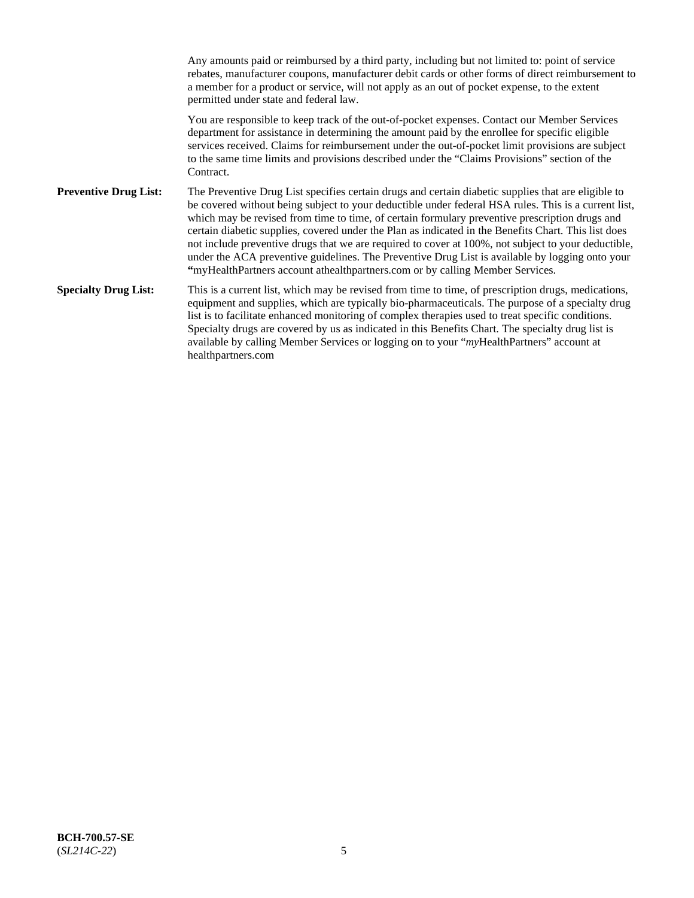Any amounts paid or reimbursed by a third party, including but not limited to: point of service rebates, manufacturer coupons, manufacturer debit cards or other forms of direct reimbursement to a member for a product or service, will not apply as an out of pocket expense, to the extent permitted under state and federal law. You are responsible to keep track of the out-of-pocket expenses. Contact our Member Services department for assistance in determining the amount paid by the enrollee for specific eligible services received. Claims for reimbursement under the out-of-pocket limit provisions are subject to the same time limits and provisions described under the "Claims Provisions" section of the **Contract Preventive Drug List:** The Preventive Drug List specifies certain drugs and certain diabetic supplies that are eligible to be covered without being subject to your deductible under federal HSA rules. This is a current list, which may be revised from time to time, of certain formulary preventive prescription drugs and certain diabetic supplies, covered under the Plan as indicated in the Benefits Chart. This list does not include preventive drugs that we are required to cover at 100%, not subject to your deductible, under the ACA preventive guidelines. The Preventive Drug List is available by logging onto your **"**myHealthPartners account athealthpartners.com or by calling Member Services. **Specialty Drug List:** This is a current list, which may be revised from time to time, of prescription drugs, medications, equipment and supplies, which are typically bio-pharmaceuticals. The purpose of a specialty drug list is to facilitate enhanced monitoring of complex therapies used to treat specific conditions. Specialty drugs are covered by us as indicated in this Benefits Chart. The specialty drug list is available by calling Member Services or logging on to your "*my*HealthPartners" account at [healthpartners.com](https://www.healthpartners.com/hp/index.html)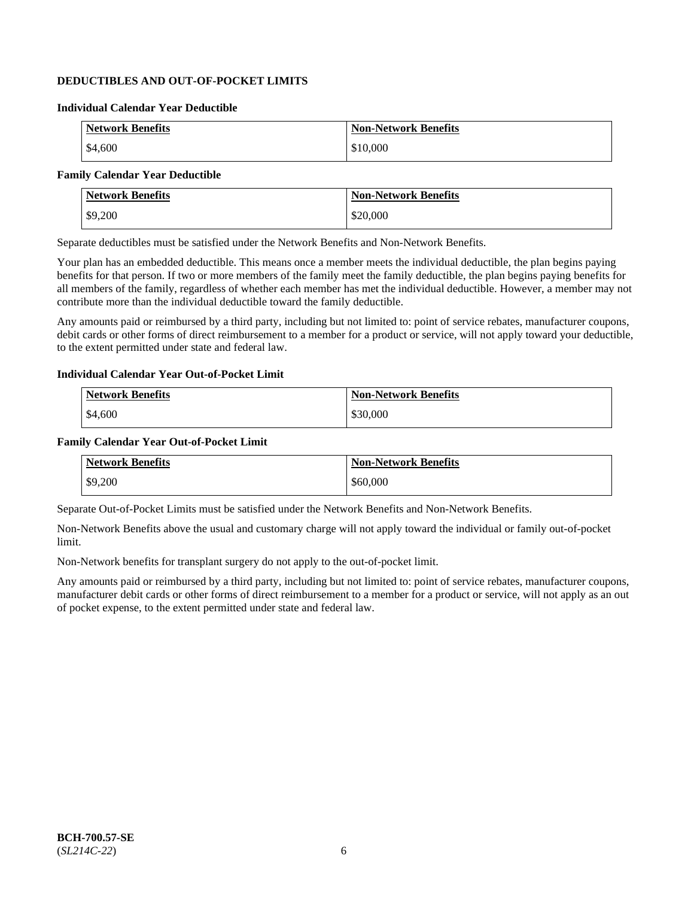## **DEDUCTIBLES AND OUT-OF-POCKET LIMITS**

### **Individual Calendar Year Deductible**

| <b>Network Benefits</b> | <b>Non-Network Benefits</b> |
|-------------------------|-----------------------------|
| \$4,600                 | \$10,000                    |

### **Family Calendar Year Deductible**

| <b>Network Benefits</b> | <b>Non-Network Benefits</b> |
|-------------------------|-----------------------------|
| \$9,200                 | \$20,000                    |

Separate deductibles must be satisfied under the Network Benefits and Non-Network Benefits.

Your plan has an embedded deductible. This means once a member meets the individual deductible, the plan begins paying benefits for that person. If two or more members of the family meet the family deductible, the plan begins paying benefits for all members of the family, regardless of whether each member has met the individual deductible. However, a member may not contribute more than the individual deductible toward the family deductible.

Any amounts paid or reimbursed by a third party, including but not limited to: point of service rebates, manufacturer coupons, debit cards or other forms of direct reimbursement to a member for a product or service, will not apply toward your deductible, to the extent permitted under state and federal law.

#### **Individual Calendar Year Out-of-Pocket Limit**

| <b>Network Benefits</b> | <b>Non-Network Benefits</b> |
|-------------------------|-----------------------------|
| \$4,600                 | \$30,000                    |

#### **Family Calendar Year Out-of-Pocket Limit**

| <b>Network Benefits</b> | Non-Network Benefits |
|-------------------------|----------------------|
| \$9,200                 | \$60,000             |

Separate Out-of-Pocket Limits must be satisfied under the Network Benefits and Non-Network Benefits.

Non-Network Benefits above the usual and customary charge will not apply toward the individual or family out-of-pocket limit.

Non-Network benefits for transplant surgery do not apply to the out-of-pocket limit.

Any amounts paid or reimbursed by a third party, including but not limited to: point of service rebates, manufacturer coupons, manufacturer debit cards or other forms of direct reimbursement to a member for a product or service, will not apply as an out of pocket expense, to the extent permitted under state and federal law.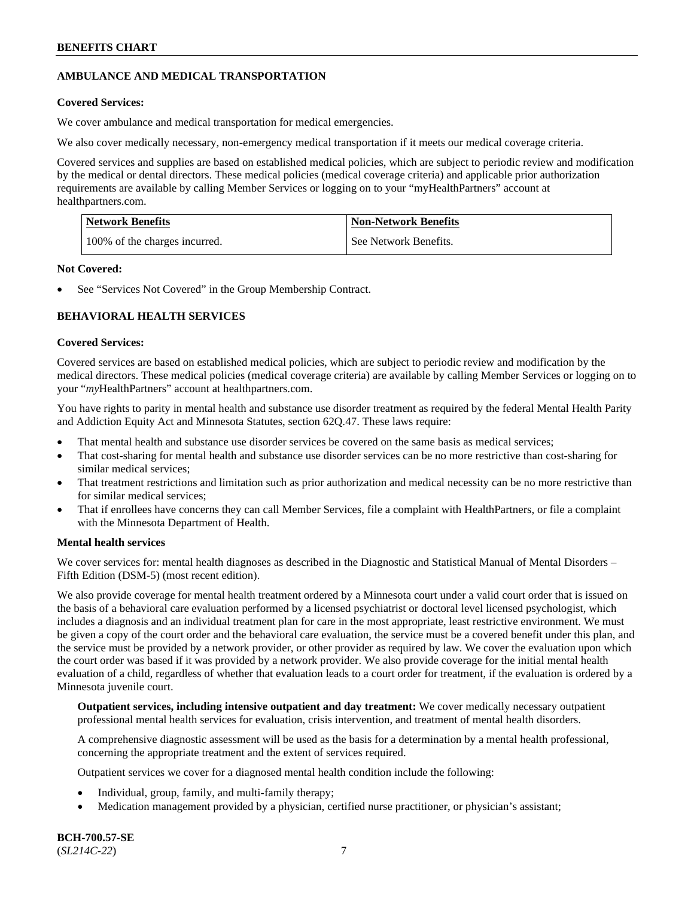## **AMBULANCE AND MEDICAL TRANSPORTATION**

### **Covered Services:**

We cover ambulance and medical transportation for medical emergencies.

We also cover medically necessary, non-emergency medical transportation if it meets our medical coverage criteria.

Covered services and supplies are based on established medical policies, which are subject to periodic review and modification by the medical or dental directors. These medical policies (medical coverage criteria) and applicable prior authorization requirements are available by calling Member Services or logging on to your "myHealthPartners" account at [healthpartners.com.](https://www.healthpartners.com/hp/index.html)

| <b>Network Benefits</b>       | <b>Non-Network Benefits</b> |
|-------------------------------|-----------------------------|
| 100% of the charges incurred. | See Network Benefits.       |

#### **Not Covered:**

See "Services Not Covered" in the Group Membership Contract.

## **BEHAVIORAL HEALTH SERVICES**

#### **Covered Services:**

Covered services are based on established medical policies, which are subject to periodic review and modification by the medical directors. These medical policies (medical coverage criteria) are available by calling Member Services or logging on to your "*my*HealthPartners" account at [healthpartners.com.](http://www.healthpartners.com/)

You have rights to parity in mental health and substance use disorder treatment as required by the federal Mental Health Parity and Addiction Equity Act and Minnesota Statutes, section 62Q.47. These laws require:

- That mental health and substance use disorder services be covered on the same basis as medical services;
- That cost-sharing for mental health and substance use disorder services can be no more restrictive than cost-sharing for similar medical services;
- That treatment restrictions and limitation such as prior authorization and medical necessity can be no more restrictive than for similar medical services;
- That if enrollees have concerns they can call Member Services, file a complaint with HealthPartners, or file a complaint with the Minnesota Department of Health.

### **Mental health services**

We cover services for: mental health diagnoses as described in the Diagnostic and Statistical Manual of Mental Disorders – Fifth Edition (DSM-5) (most recent edition).

We also provide coverage for mental health treatment ordered by a Minnesota court under a valid court order that is issued on the basis of a behavioral care evaluation performed by a licensed psychiatrist or doctoral level licensed psychologist, which includes a diagnosis and an individual treatment plan for care in the most appropriate, least restrictive environment. We must be given a copy of the court order and the behavioral care evaluation, the service must be a covered benefit under this plan, and the service must be provided by a network provider, or other provider as required by law. We cover the evaluation upon which the court order was based if it was provided by a network provider. We also provide coverage for the initial mental health evaluation of a child, regardless of whether that evaluation leads to a court order for treatment, if the evaluation is ordered by a Minnesota juvenile court.

**Outpatient services, including intensive outpatient and day treatment:** We cover medically necessary outpatient professional mental health services for evaluation, crisis intervention, and treatment of mental health disorders.

A comprehensive diagnostic assessment will be used as the basis for a determination by a mental health professional, concerning the appropriate treatment and the extent of services required.

Outpatient services we cover for a diagnosed mental health condition include the following:

- Individual, group, family, and multi-family therapy;
- Medication management provided by a physician, certified nurse practitioner, or physician's assistant;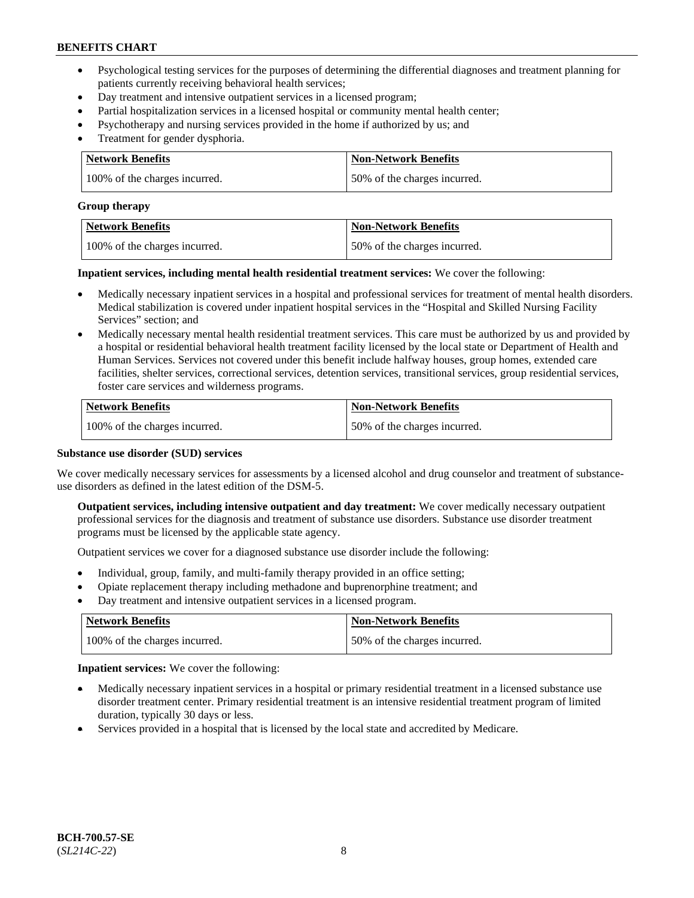- Psychological testing services for the purposes of determining the differential diagnoses and treatment planning for patients currently receiving behavioral health services;
- Day treatment and intensive outpatient services in a licensed program;
- Partial hospitalization services in a licensed hospital or community mental health center;
- Psychotherapy and nursing services provided in the home if authorized by us; and
- Treatment for gender dysphoria.

| Network Benefits              | <b>Non-Network Benefits</b>  |
|-------------------------------|------------------------------|
| 100% of the charges incurred. | 50% of the charges incurred. |

#### **Group therapy**

| Network Benefits              | <b>Non-Network Benefits</b>  |
|-------------------------------|------------------------------|
| 100% of the charges incurred. | 50% of the charges incurred. |

**Inpatient services, including mental health residential treatment services:** We cover the following:

- Medically necessary inpatient services in a hospital and professional services for treatment of mental health disorders. Medical stabilization is covered under inpatient hospital services in the "Hospital and Skilled Nursing Facility Services" section; and
- Medically necessary mental health residential treatment services. This care must be authorized by us and provided by a hospital or residential behavioral health treatment facility licensed by the local state or Department of Health and Human Services. Services not covered under this benefit include halfway houses, group homes, extended care facilities, shelter services, correctional services, detention services, transitional services, group residential services, foster care services and wilderness programs.

| Network Benefits              | <b>Non-Network Benefits</b>  |
|-------------------------------|------------------------------|
| 100% of the charges incurred. | 50% of the charges incurred. |

### **Substance use disorder (SUD) services**

We cover medically necessary services for assessments by a licensed alcohol and drug counselor and treatment of substanceuse disorders as defined in the latest edition of the DSM-5.

**Outpatient services, including intensive outpatient and day treatment:** We cover medically necessary outpatient professional services for the diagnosis and treatment of substance use disorders. Substance use disorder treatment programs must be licensed by the applicable state agency.

Outpatient services we cover for a diagnosed substance use disorder include the following:

- Individual, group, family, and multi-family therapy provided in an office setting;
- Opiate replacement therapy including methadone and buprenorphine treatment; and
- Day treatment and intensive outpatient services in a licensed program.

| Network Benefits              | <b>Non-Network Benefits</b>  |
|-------------------------------|------------------------------|
| 100% of the charges incurred. | 50% of the charges incurred. |

**Inpatient services:** We cover the following:

- Medically necessary inpatient services in a hospital or primary residential treatment in a licensed substance use disorder treatment center. Primary residential treatment is an intensive residential treatment program of limited duration, typically 30 days or less.
- Services provided in a hospital that is licensed by the local state and accredited by Medicare.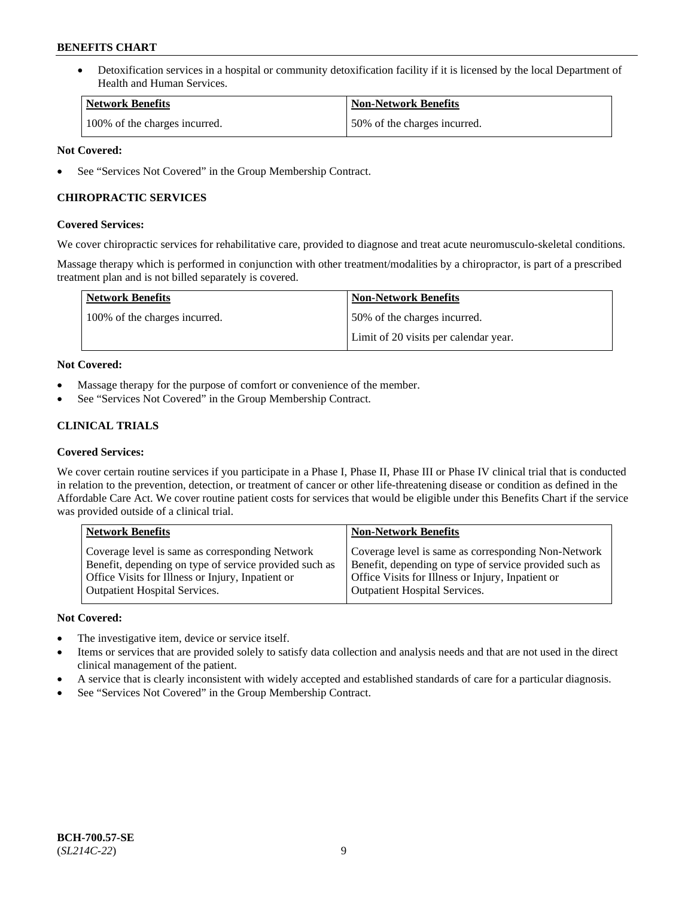• Detoxification services in a hospital or community detoxification facility if it is licensed by the local Department of Health and Human Services.

| <b>Network Benefits</b>       | <b>Non-Network Benefits</b>  |
|-------------------------------|------------------------------|
| 100% of the charges incurred. | 50% of the charges incurred. |

### **Not Covered:**

See "Services Not Covered" in the Group Membership Contract.

### **CHIROPRACTIC SERVICES**

### **Covered Services:**

We cover chiropractic services for rehabilitative care, provided to diagnose and treat acute neuromusculo-skeletal conditions.

Massage therapy which is performed in conjunction with other treatment/modalities by a chiropractor, is part of a prescribed treatment plan and is not billed separately is covered.

| <b>Network Benefits</b>       | <b>Non-Network Benefits</b>           |
|-------------------------------|---------------------------------------|
| 100% of the charges incurred. | 50% of the charges incurred.          |
|                               | Limit of 20 visits per calendar year. |

### **Not Covered:**

- Massage therapy for the purpose of comfort or convenience of the member.
- See "Services Not Covered" in the Group Membership Contract.

## **CLINICAL TRIALS**

### **Covered Services:**

We cover certain routine services if you participate in a Phase I, Phase II, Phase III or Phase IV clinical trial that is conducted in relation to the prevention, detection, or treatment of cancer or other life-threatening disease or condition as defined in the Affordable Care Act. We cover routine patient costs for services that would be eligible under this Benefits Chart if the service was provided outside of a clinical trial.

| <b>Network Benefits</b>                                                                                                                                                                                | <b>Non-Network Benefits</b>                                                                                                                                                                         |
|--------------------------------------------------------------------------------------------------------------------------------------------------------------------------------------------------------|-----------------------------------------------------------------------------------------------------------------------------------------------------------------------------------------------------|
| Coverage level is same as corresponding Network<br>Benefit, depending on type of service provided such as<br>Office Visits for Illness or Injury, Inpatient or<br><b>Outpatient Hospital Services.</b> | Coverage level is same as corresponding Non-Network<br>Benefit, depending on type of service provided such as<br>Office Visits for Illness or Injury, Inpatient or<br>Outpatient Hospital Services. |
|                                                                                                                                                                                                        |                                                                                                                                                                                                     |

### **Not Covered:**

- The investigative item, device or service itself.
- Items or services that are provided solely to satisfy data collection and analysis needs and that are not used in the direct clinical management of the patient.
- A service that is clearly inconsistent with widely accepted and established standards of care for a particular diagnosis.
- See "Services Not Covered" in the Group Membership Contract.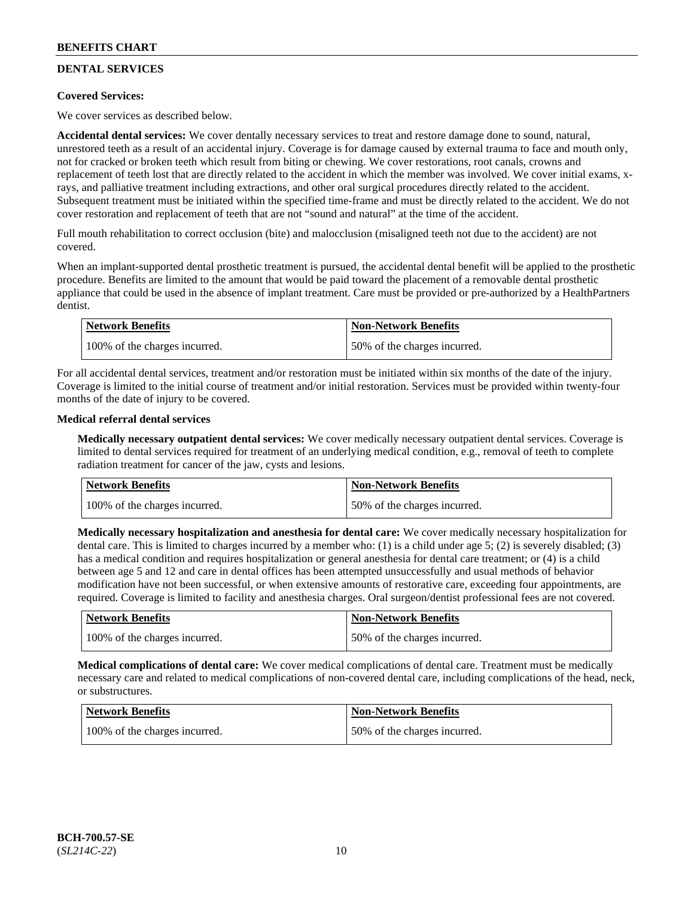## **DENTAL SERVICES**

### **Covered Services:**

We cover services as described below.

**Accidental dental services:** We cover dentally necessary services to treat and restore damage done to sound, natural, unrestored teeth as a result of an accidental injury. Coverage is for damage caused by external trauma to face and mouth only, not for cracked or broken teeth which result from biting or chewing. We cover restorations, root canals, crowns and replacement of teeth lost that are directly related to the accident in which the member was involved. We cover initial exams, xrays, and palliative treatment including extractions, and other oral surgical procedures directly related to the accident. Subsequent treatment must be initiated within the specified time-frame and must be directly related to the accident. We do not cover restoration and replacement of teeth that are not "sound and natural" at the time of the accident.

Full mouth rehabilitation to correct occlusion (bite) and malocclusion (misaligned teeth not due to the accident) are not covered.

When an implant-supported dental prosthetic treatment is pursued, the accidental dental benefit will be applied to the prosthetic procedure. Benefits are limited to the amount that would be paid toward the placement of a removable dental prosthetic appliance that could be used in the absence of implant treatment. Care must be provided or pre-authorized by a HealthPartners dentist.

| Network Benefits              | <b>Non-Network Benefits</b>  |
|-------------------------------|------------------------------|
| 100% of the charges incurred. | 50% of the charges incurred. |

For all accidental dental services, treatment and/or restoration must be initiated within six months of the date of the injury. Coverage is limited to the initial course of treatment and/or initial restoration. Services must be provided within twenty-four months of the date of injury to be covered.

### **Medical referral dental services**

**Medically necessary outpatient dental services:** We cover medically necessary outpatient dental services. Coverage is limited to dental services required for treatment of an underlying medical condition, e.g., removal of teeth to complete radiation treatment for cancer of the jaw, cysts and lesions.

| Network Benefits              | <b>Non-Network Benefits</b>  |
|-------------------------------|------------------------------|
| 100% of the charges incurred. | 50% of the charges incurred. |

**Medically necessary hospitalization and anesthesia for dental care:** We cover medically necessary hospitalization for dental care. This is limited to charges incurred by a member who: (1) is a child under age 5; (2) is severely disabled; (3) has a medical condition and requires hospitalization or general anesthesia for dental care treatment; or (4) is a child between age 5 and 12 and care in dental offices has been attempted unsuccessfully and usual methods of behavior modification have not been successful, or when extensive amounts of restorative care, exceeding four appointments, are required. Coverage is limited to facility and anesthesia charges. Oral surgeon/dentist professional fees are not covered.

| <b>Network Benefits</b>       | <b>Non-Network Benefits</b>  |
|-------------------------------|------------------------------|
| 100% of the charges incurred. | 50% of the charges incurred. |

**Medical complications of dental care:** We cover medical complications of dental care. Treatment must be medically necessary care and related to medical complications of non-covered dental care, including complications of the head, neck, or substructures.

| Network Benefits              | <b>Non-Network Benefits</b>  |
|-------------------------------|------------------------------|
| 100% of the charges incurred. | 50% of the charges incurred. |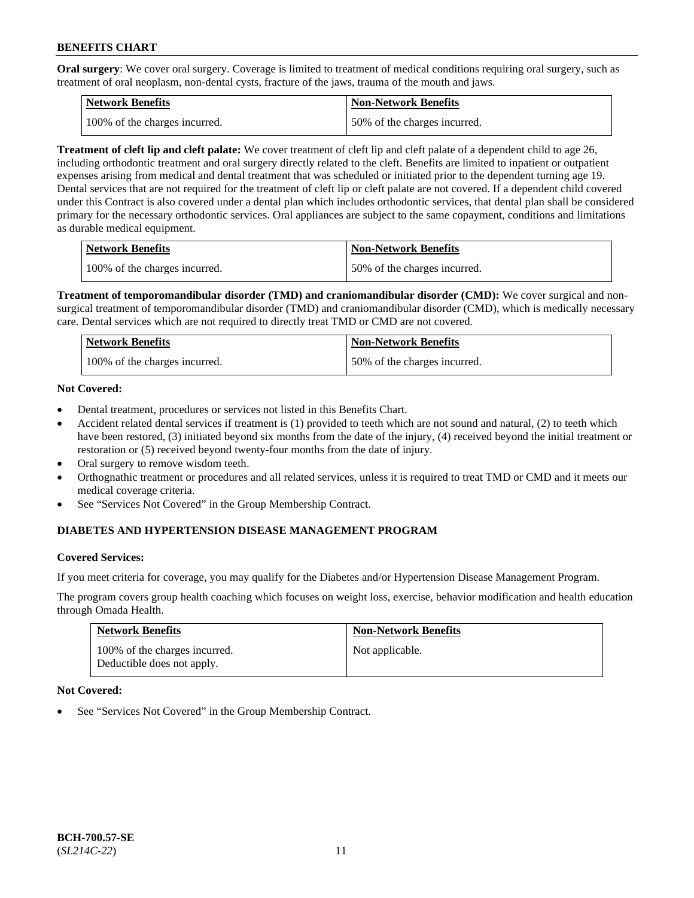**Oral surgery**: We cover oral surgery. Coverage is limited to treatment of medical conditions requiring oral surgery, such as treatment of oral neoplasm, non-dental cysts, fracture of the jaws, trauma of the mouth and jaws.

| Network Benefits              | <b>Non-Network Benefits</b>  |
|-------------------------------|------------------------------|
| 100% of the charges incurred. | 50% of the charges incurred. |

**Treatment of cleft lip and cleft palate:** We cover treatment of cleft lip and cleft palate of a dependent child to age 26, including orthodontic treatment and oral surgery directly related to the cleft. Benefits are limited to inpatient or outpatient expenses arising from medical and dental treatment that was scheduled or initiated prior to the dependent turning age 19. Dental services that are not required for the treatment of cleft lip or cleft palate are not covered. If a dependent child covered under this Contract is also covered under a dental plan which includes orthodontic services, that dental plan shall be considered primary for the necessary orthodontic services. Oral appliances are subject to the same copayment, conditions and limitations as durable medical equipment.

| <b>Network Benefits</b>       | <b>Non-Network Benefits</b>  |
|-------------------------------|------------------------------|
| 100% of the charges incurred. | 50% of the charges incurred. |

**Treatment of temporomandibular disorder (TMD) and craniomandibular disorder (CMD):** We cover surgical and nonsurgical treatment of temporomandibular disorder (TMD) and craniomandibular disorder (CMD), which is medically necessary care. Dental services which are not required to directly treat TMD or CMD are not covered.

| Network Benefits              | <b>Non-Network Benefits</b>  |
|-------------------------------|------------------------------|
| 100% of the charges incurred. | 50% of the charges incurred. |

### **Not Covered:**

- Dental treatment, procedures or services not listed in this Benefits Chart.
- Accident related dental services if treatment is (1) provided to teeth which are not sound and natural, (2) to teeth which have been restored, (3) initiated beyond six months from the date of the injury, (4) received beyond the initial treatment or restoration or (5) received beyond twenty-four months from the date of injury.
- Oral surgery to remove wisdom teeth.
- Orthognathic treatment or procedures and all related services, unless it is required to treat TMD or CMD and it meets our medical coverage criteria.
- See "Services Not Covered" in the Group Membership Contract.

### **DIABETES AND HYPERTENSION DISEASE MANAGEMENT PROGRAM**

#### **Covered Services:**

If you meet criteria for coverage, you may qualify for the Diabetes and/or Hypertension Disease Management Program.

The program covers group health coaching which focuses on weight loss, exercise, behavior modification and health education through Omada Health.

| <b>Network Benefits</b>                                     | <b>Non-Network Benefits</b> |
|-------------------------------------------------------------|-----------------------------|
| 100% of the charges incurred.<br>Deductible does not apply. | Not applicable.             |

### **Not Covered:**

See "Services Not Covered" in the Group Membership Contract.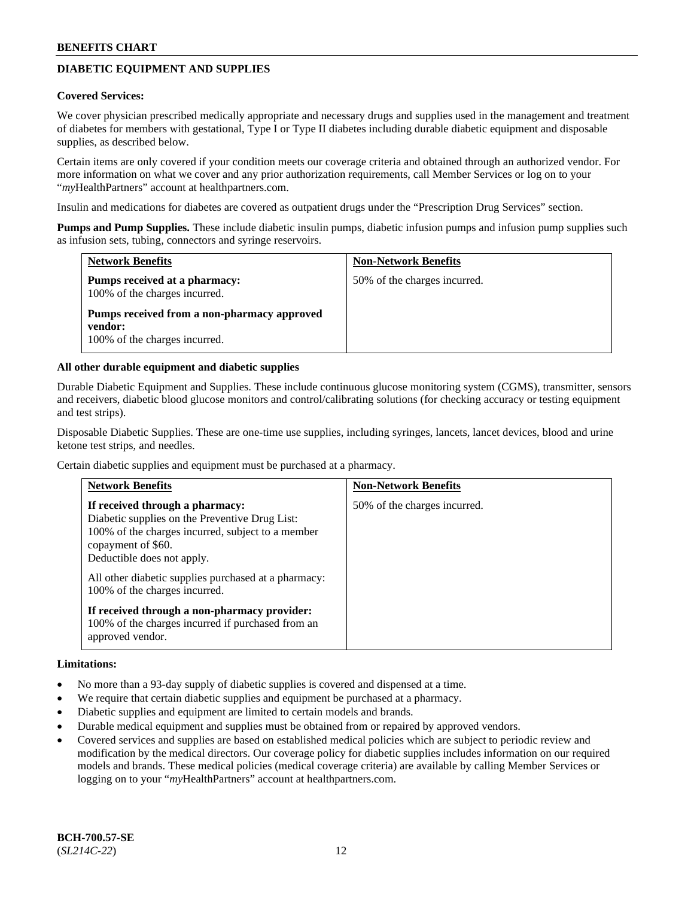## **DIABETIC EQUIPMENT AND SUPPLIES**

#### **Covered Services:**

We cover physician prescribed medically appropriate and necessary drugs and supplies used in the management and treatment of diabetes for members with gestational, Type I or Type II diabetes including durable diabetic equipment and disposable supplies, as described below.

Certain items are only covered if your condition meets our coverage criteria and obtained through an authorized vendor. For more information on what we cover and any prior authorization requirements, call Member Services or log on to your "*my*HealthPartners" account at [healthpartners.com.](http://www.healthpartners.com/)

Insulin and medications for diabetes are covered as outpatient drugs under the "Prescription Drug Services" section.

**Pumps and Pump Supplies.** These include diabetic insulin pumps, diabetic infusion pumps and infusion pump supplies such as infusion sets, tubing, connectors and syringe reservoirs.

| <b>Network Benefits</b>                                                                 | <b>Non-Network Benefits</b>  |
|-----------------------------------------------------------------------------------------|------------------------------|
| Pumps received at a pharmacy:<br>100% of the charges incurred.                          | 50% of the charges incurred. |
| Pumps received from a non-pharmacy approved<br>vendor:<br>100% of the charges incurred. |                              |

#### **All other durable equipment and diabetic supplies**

Durable Diabetic Equipment and Supplies. These include continuous glucose monitoring system (CGMS), transmitter, sensors and receivers, diabetic blood glucose monitors and control/calibrating solutions (for checking accuracy or testing equipment and test strips).

Disposable Diabetic Supplies. These are one-time use supplies, including syringes, lancets, lancet devices, blood and urine ketone test strips, and needles.

Certain diabetic supplies and equipment must be purchased at a pharmacy.

| <b>Network Benefits</b>                                                                                                                                                                                                                                                             | <b>Non-Network Benefits</b>  |
|-------------------------------------------------------------------------------------------------------------------------------------------------------------------------------------------------------------------------------------------------------------------------------------|------------------------------|
| If received through a pharmacy:<br>Diabetic supplies on the Preventive Drug List:<br>100% of the charges incurred, subject to a member<br>copayment of \$60.<br>Deductible does not apply.<br>All other diabetic supplies purchased at a pharmacy:<br>100% of the charges incurred. | 50% of the charges incurred. |
| If received through a non-pharmacy provider:<br>100% of the charges incurred if purchased from an<br>approved vendor.                                                                                                                                                               |                              |

#### **Limitations:**

- No more than a 93-day supply of diabetic supplies is covered and dispensed at a time.
- We require that certain diabetic supplies and equipment be purchased at a pharmacy.
- Diabetic supplies and equipment are limited to certain models and brands.
- Durable medical equipment and supplies must be obtained from or repaired by approved vendors.
- Covered services and supplies are based on established medical policies which are subject to periodic review and modification by the medical directors. Our coverage policy for diabetic supplies includes information on our required models and brands. These medical policies (medical coverage criteria) are available by calling Member Services or logging on to your "*my*HealthPartners" account at [healthpartners.com.](http://www.healthpartners.com/)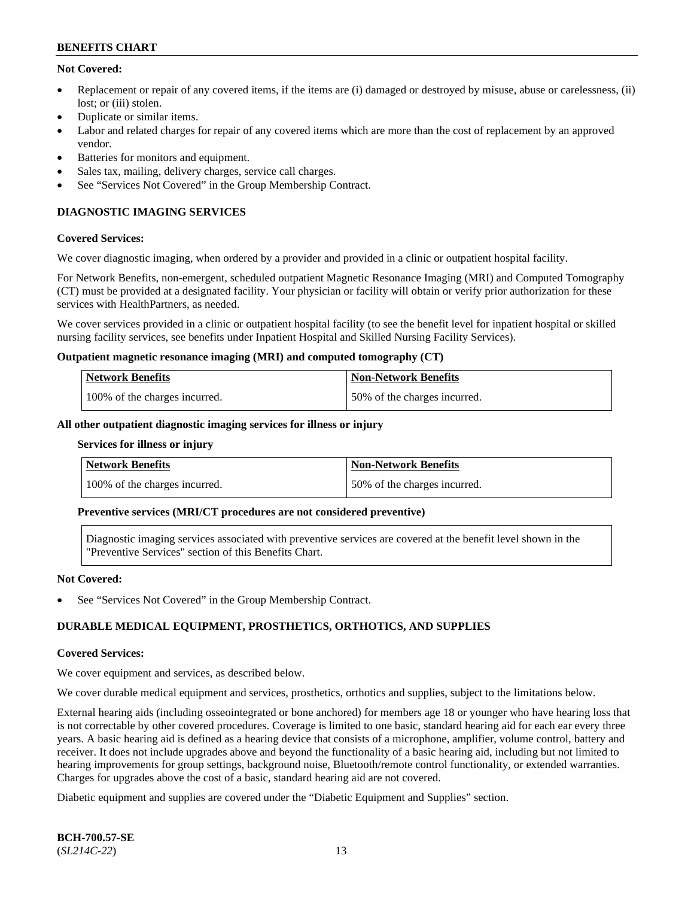### **Not Covered:**

- Replacement or repair of any covered items, if the items are (i) damaged or destroyed by misuse, abuse or carelessness, (ii) lost: or (iii) stolen.
- Duplicate or similar items.
- Labor and related charges for repair of any covered items which are more than the cost of replacement by an approved vendor.
- Batteries for monitors and equipment.
- Sales tax, mailing, delivery charges, service call charges.
- See "Services Not Covered" in the Group Membership Contract.

## **DIAGNOSTIC IMAGING SERVICES**

#### **Covered Services:**

We cover diagnostic imaging, when ordered by a provider and provided in a clinic or outpatient hospital facility.

For Network Benefits, non-emergent, scheduled outpatient Magnetic Resonance Imaging (MRI) and Computed Tomography (CT) must be provided at a designated facility. Your physician or facility will obtain or verify prior authorization for these services with HealthPartners, as needed.

We cover services provided in a clinic or outpatient hospital facility (to see the benefit level for inpatient hospital or skilled nursing facility services, see benefits under Inpatient Hospital and Skilled Nursing Facility Services).

#### **Outpatient magnetic resonance imaging (MRI) and computed tomography (CT)**

| Network Benefits              | <b>Non-Network Benefits</b>  |
|-------------------------------|------------------------------|
| 100% of the charges incurred. | 50% of the charges incurred. |

#### **All other outpatient diagnostic imaging services for illness or injury**

#### **Services for illness or injury**

| Network Benefits              | Non-Network Benefits         |
|-------------------------------|------------------------------|
| 100% of the charges incurred. | 50% of the charges incurred. |

#### **Preventive services (MRI/CT procedures are not considered preventive)**

Diagnostic imaging services associated with preventive services are covered at the benefit level shown in the "Preventive Services" section of this Benefits Chart.

#### **Not Covered:**

See "Services Not Covered" in the Group Membership Contract.

### **DURABLE MEDICAL EQUIPMENT, PROSTHETICS, ORTHOTICS, AND SUPPLIES**

#### **Covered Services:**

We cover equipment and services, as described below.

We cover durable medical equipment and services, prosthetics, orthotics and supplies, subject to the limitations below.

External hearing aids (including osseointegrated or bone anchored) for members age 18 or younger who have hearing loss that is not correctable by other covered procedures. Coverage is limited to one basic, standard hearing aid for each ear every three years. A basic hearing aid is defined as a hearing device that consists of a microphone, amplifier, volume control, battery and receiver. It does not include upgrades above and beyond the functionality of a basic hearing aid, including but not limited to hearing improvements for group settings, background noise, Bluetooth/remote control functionality, or extended warranties. Charges for upgrades above the cost of a basic, standard hearing aid are not covered.

Diabetic equipment and supplies are covered under the "Diabetic Equipment and Supplies" section.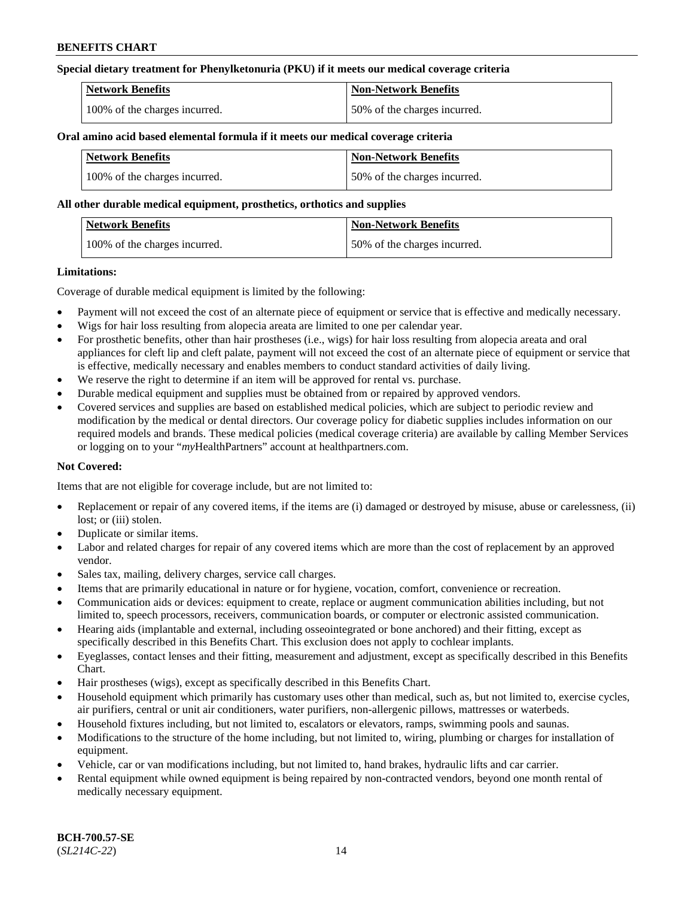### **Special dietary treatment for Phenylketonuria (PKU) if it meets our medical coverage criteria**

| <b>Network Benefits</b>       | <b>Non-Network Benefits</b>  |
|-------------------------------|------------------------------|
| 100% of the charges incurred. | 50% of the charges incurred. |

#### **Oral amino acid based elemental formula if it meets our medical coverage criteria**

| <b>Network Benefits</b>       | <b>Non-Network Benefits</b>  |
|-------------------------------|------------------------------|
| 100% of the charges incurred. | 50% of the charges incurred. |

#### **All other durable medical equipment, prosthetics, orthotics and supplies**

| <b>Network Benefits</b>       | Non-Network Benefits         |
|-------------------------------|------------------------------|
| 100% of the charges incurred. | 50% of the charges incurred. |

#### **Limitations:**

Coverage of durable medical equipment is limited by the following:

- Payment will not exceed the cost of an alternate piece of equipment or service that is effective and medically necessary.
- Wigs for hair loss resulting from alopecia areata are limited to one per calendar year.
- For prosthetic benefits, other than hair prostheses (i.e., wigs) for hair loss resulting from alopecia areata and oral appliances for cleft lip and cleft palate, payment will not exceed the cost of an alternate piece of equipment or service that is effective, medically necessary and enables members to conduct standard activities of daily living.
- We reserve the right to determine if an item will be approved for rental vs. purchase.
- Durable medical equipment and supplies must be obtained from or repaired by approved vendors.
- Covered services and supplies are based on established medical policies, which are subject to periodic review and modification by the medical or dental directors. Our coverage policy for diabetic supplies includes information on our required models and brands. These medical policies (medical coverage criteria) are available by calling Member Services or logging on to your "*my*HealthPartners" account a[t healthpartners.com.](https://www.healthpartners.com/hp/index.html)

### **Not Covered:**

Items that are not eligible for coverage include, but are not limited to:

- Replacement or repair of any covered items, if the items are (i) damaged or destroyed by misuse, abuse or carelessness, (ii) lost; or (iii) stolen.
- Duplicate or similar items.
- Labor and related charges for repair of any covered items which are more than the cost of replacement by an approved vendor.
- Sales tax, mailing, delivery charges, service call charges.
- Items that are primarily educational in nature or for hygiene, vocation, comfort, convenience or recreation.
- Communication aids or devices: equipment to create, replace or augment communication abilities including, but not limited to, speech processors, receivers, communication boards, or computer or electronic assisted communication.
- Hearing aids (implantable and external, including osseointegrated or bone anchored) and their fitting, except as specifically described in this Benefits Chart. This exclusion does not apply to cochlear implants.
- Eyeglasses, contact lenses and their fitting, measurement and adjustment, except as specifically described in this Benefits Chart.
- Hair prostheses (wigs), except as specifically described in this Benefits Chart.
- Household equipment which primarily has customary uses other than medical, such as, but not limited to, exercise cycles, air purifiers, central or unit air conditioners, water purifiers, non-allergenic pillows, mattresses or waterbeds.
- Household fixtures including, but not limited to, escalators or elevators, ramps, swimming pools and saunas.
- Modifications to the structure of the home including, but not limited to, wiring, plumbing or charges for installation of equipment.
- Vehicle, car or van modifications including, but not limited to, hand brakes, hydraulic lifts and car carrier.
- Rental equipment while owned equipment is being repaired by non-contracted vendors, beyond one month rental of medically necessary equipment.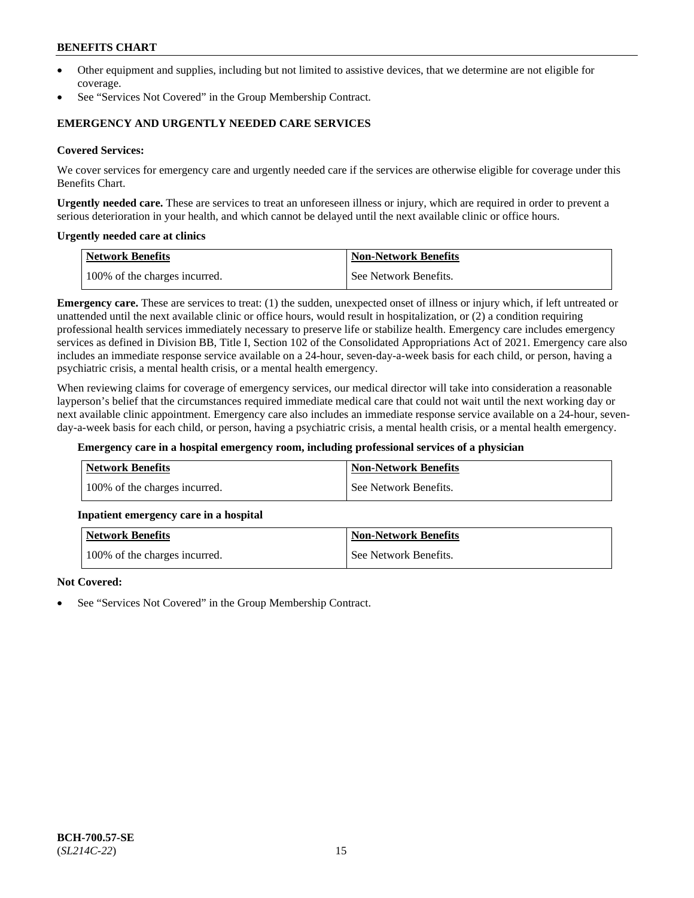- Other equipment and supplies, including but not limited to assistive devices, that we determine are not eligible for coverage.
- See "Services Not Covered" in the Group Membership Contract.

### **EMERGENCY AND URGENTLY NEEDED CARE SERVICES**

#### **Covered Services:**

We cover services for emergency care and urgently needed care if the services are otherwise eligible for coverage under this Benefits Chart.

**Urgently needed care.** These are services to treat an unforeseen illness or injury, which are required in order to prevent a serious deterioration in your health, and which cannot be delayed until the next available clinic or office hours.

#### **Urgently needed care at clinics**

| Network Benefits              | <b>Non-Network Benefits</b> |
|-------------------------------|-----------------------------|
| 100% of the charges incurred. | See Network Benefits.       |

**Emergency care.** These are services to treat: (1) the sudden, unexpected onset of illness or injury which, if left untreated or unattended until the next available clinic or office hours, would result in hospitalization, or (2) a condition requiring professional health services immediately necessary to preserve life or stabilize health. Emergency care includes emergency services as defined in Division BB, Title I, Section 102 of the Consolidated Appropriations Act of 2021. Emergency care also includes an immediate response service available on a 24-hour, seven-day-a-week basis for each child, or person, having a psychiatric crisis, a mental health crisis, or a mental health emergency.

When reviewing claims for coverage of emergency services, our medical director will take into consideration a reasonable layperson's belief that the circumstances required immediate medical care that could not wait until the next working day or next available clinic appointment. Emergency care also includes an immediate response service available on a 24-hour, sevenday-a-week basis for each child, or person, having a psychiatric crisis, a mental health crisis, or a mental health emergency.

#### **Emergency care in a hospital emergency room, including professional services of a physician**

| <b>Network Benefits</b>       | <b>Non-Network Benefits</b> |
|-------------------------------|-----------------------------|
| 100% of the charges incurred. | See Network Benefits.       |

#### **Inpatient emergency care in a hospital**

| <b>Network Benefits</b>       | <b>Non-Network Benefits</b> |
|-------------------------------|-----------------------------|
| 100% of the charges incurred. | See Network Benefits.       |

#### **Not Covered:**

See "Services Not Covered" in the Group Membership Contract.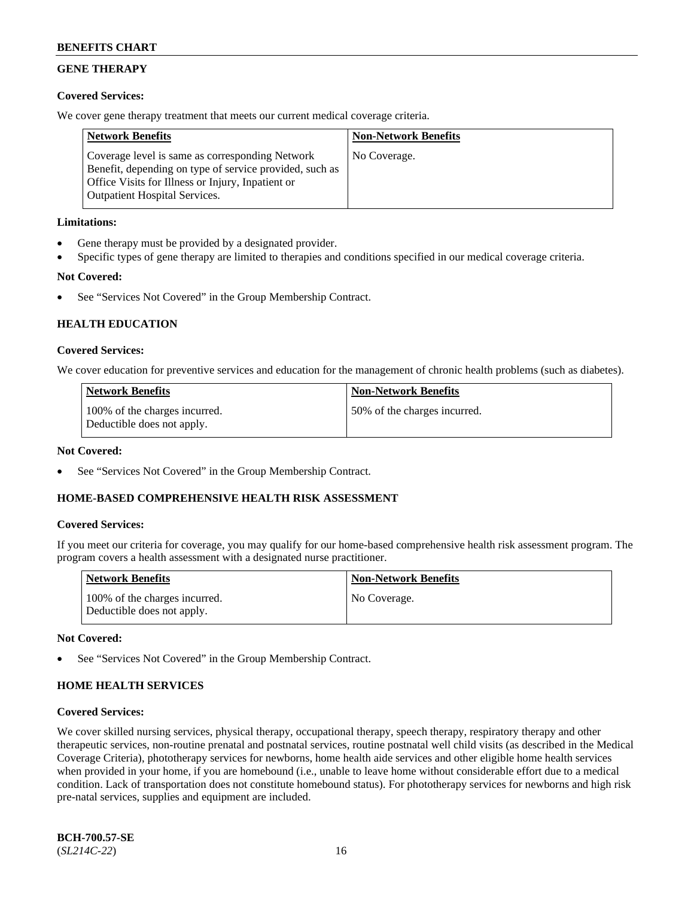## **GENE THERAPY**

### **Covered Services:**

We cover gene therapy treatment that meets our current medical coverage criteria.

| <b>Network Benefits</b>                                                                                                                                                                                 | <b>Non-Network Benefits</b> |
|---------------------------------------------------------------------------------------------------------------------------------------------------------------------------------------------------------|-----------------------------|
| Coverage level is same as corresponding Network<br>Benefit, depending on type of service provided, such as<br>Office Visits for Illness or Injury, Inpatient or<br><b>Outpatient Hospital Services.</b> | No Coverage.                |

### **Limitations:**

- Gene therapy must be provided by a designated provider.
- Specific types of gene therapy are limited to therapies and conditions specified in our medical coverage criteria.

## **Not Covered:**

See "Services Not Covered" in the Group Membership Contract.

## **HEALTH EDUCATION**

### **Covered Services:**

We cover education for preventive services and education for the management of chronic health problems (such as diabetes).

| <b>Network Benefits</b>                                     | <b>Non-Network Benefits</b>   |
|-------------------------------------------------------------|-------------------------------|
| 100% of the charges incurred.<br>Deductible does not apply. | 150% of the charges incurred. |

### **Not Covered:**

See "Services Not Covered" in the Group Membership Contract.

### **HOME-BASED COMPREHENSIVE HEALTH RISK ASSESSMENT**

### **Covered Services:**

If you meet our criteria for coverage, you may qualify for our home-based comprehensive health risk assessment program. The program covers a health assessment with a designated nurse practitioner.

| <b>Network Benefits</b>                                     | <b>Non-Network Benefits</b> |
|-------------------------------------------------------------|-----------------------------|
| 100% of the charges incurred.<br>Deductible does not apply. | No Coverage.                |

### **Not Covered:**

See "Services Not Covered" in the Group Membership Contract.

## **HOME HEALTH SERVICES**

### **Covered Services:**

We cover skilled nursing services, physical therapy, occupational therapy, speech therapy, respiratory therapy and other therapeutic services, non-routine prenatal and postnatal services, routine postnatal well child visits (as described in the Medical Coverage Criteria), phototherapy services for newborns, home health aide services and other eligible home health services when provided in your home, if you are homebound (i.e., unable to leave home without considerable effort due to a medical condition. Lack of transportation does not constitute homebound status). For phototherapy services for newborns and high risk pre-natal services, supplies and equipment are included.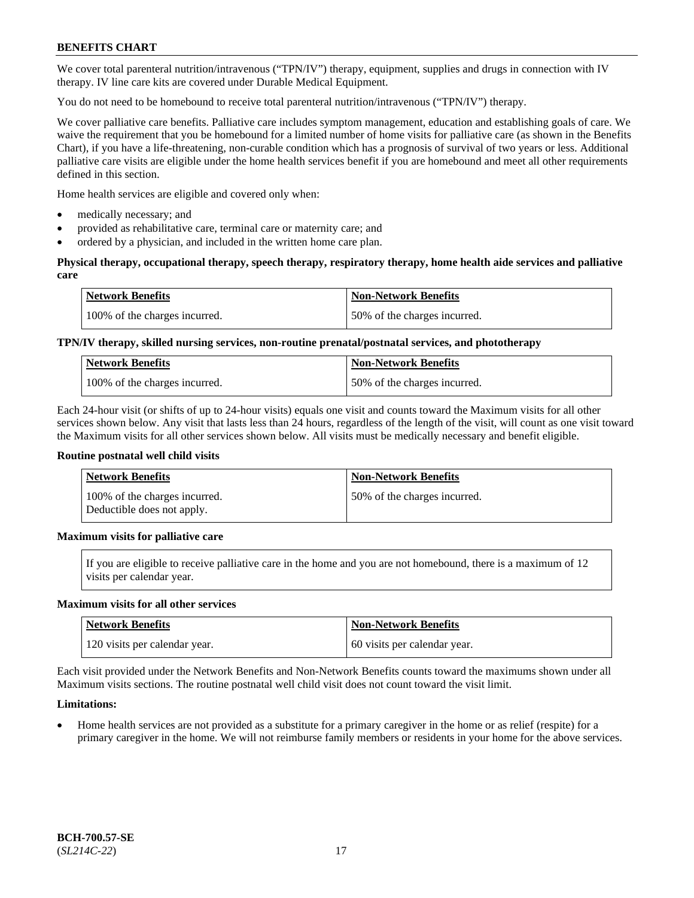We cover total parenteral nutrition/intravenous ("TPN/IV") therapy, equipment, supplies and drugs in connection with IV therapy. IV line care kits are covered under Durable Medical Equipment.

You do not need to be homebound to receive total parenteral nutrition/intravenous ("TPN/IV") therapy.

We cover palliative care benefits. Palliative care includes symptom management, education and establishing goals of care. We waive the requirement that you be homebound for a limited number of home visits for palliative care (as shown in the Benefits Chart), if you have a life-threatening, non-curable condition which has a prognosis of survival of two years or less. Additional palliative care visits are eligible under the home health services benefit if you are homebound and meet all other requirements defined in this section.

Home health services are eligible and covered only when:

- medically necessary; and
- provided as rehabilitative care, terminal care or maternity care; and
- ordered by a physician, and included in the written home care plan.

### **Physical therapy, occupational therapy, speech therapy, respiratory therapy, home health aide services and palliative care**

| <b>Network Benefits</b>       | <b>Non-Network Benefits</b>  |
|-------------------------------|------------------------------|
| 100% of the charges incurred. | 50% of the charges incurred. |

## **TPN/IV therapy, skilled nursing services, non-routine prenatal/postnatal services, and phototherapy**

| <b>Network Benefits</b>       | <b>Non-Network Benefits</b>  |
|-------------------------------|------------------------------|
| 100% of the charges incurred. | 50% of the charges incurred. |

Each 24-hour visit (or shifts of up to 24-hour visits) equals one visit and counts toward the Maximum visits for all other services shown below. Any visit that lasts less than 24 hours, regardless of the length of the visit, will count as one visit toward the Maximum visits for all other services shown below. All visits must be medically necessary and benefit eligible.

#### **Routine postnatal well child visits**

| <b>Network Benefits</b>                                     | <b>Non-Network Benefits</b>  |
|-------------------------------------------------------------|------------------------------|
| 100% of the charges incurred.<br>Deductible does not apply. | 50% of the charges incurred. |

### **Maximum visits for palliative care**

If you are eligible to receive palliative care in the home and you are not homebound, there is a maximum of 12 visits per calendar year.

#### **Maximum visits for all other services**

| <b>Network Benefits</b>       | <b>Non-Network Benefits</b>  |
|-------------------------------|------------------------------|
| 120 visits per calendar year. | 60 visits per calendar year. |

Each visit provided under the Network Benefits and Non-Network Benefits counts toward the maximums shown under all Maximum visits sections. The routine postnatal well child visit does not count toward the visit limit.

### **Limitations:**

• Home health services are not provided as a substitute for a primary caregiver in the home or as relief (respite) for a primary caregiver in the home. We will not reimburse family members or residents in your home for the above services.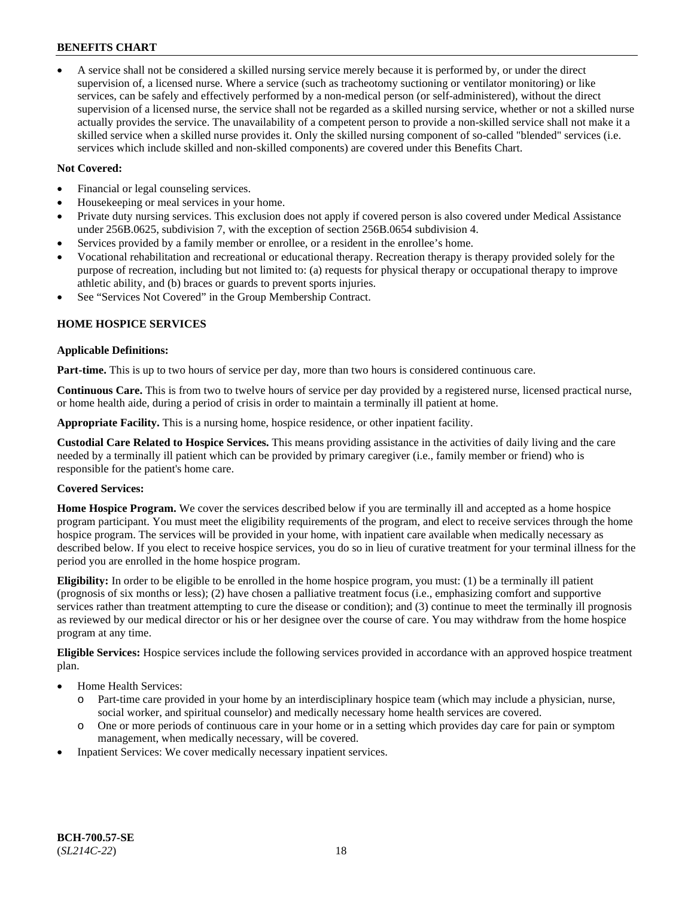• A service shall not be considered a skilled nursing service merely because it is performed by, or under the direct supervision of, a licensed nurse. Where a service (such as tracheotomy suctioning or ventilator monitoring) or like services, can be safely and effectively performed by a non-medical person (or self-administered), without the direct supervision of a licensed nurse, the service shall not be regarded as a skilled nursing service, whether or not a skilled nurse actually provides the service. The unavailability of a competent person to provide a non-skilled service shall not make it a skilled service when a skilled nurse provides it. Only the skilled nursing component of so-called "blended" services (i.e. services which include skilled and non-skilled components) are covered under this Benefits Chart.

### **Not Covered:**

- Financial or legal counseling services.
- Housekeeping or meal services in your home.
- Private duty nursing services. This exclusion does not apply if covered person is also covered under Medical Assistance under 256B.0625, subdivision 7, with the exception of section 256B.0654 subdivision 4.
- Services provided by a family member or enrollee, or a resident in the enrollee's home.
- Vocational rehabilitation and recreational or educational therapy. Recreation therapy is therapy provided solely for the purpose of recreation, including but not limited to: (a) requests for physical therapy or occupational therapy to improve athletic ability, and (b) braces or guards to prevent sports injuries.
- See "Services Not Covered" in the Group Membership Contract.

### **HOME HOSPICE SERVICES**

#### **Applicable Definitions:**

**Part-time.** This is up to two hours of service per day, more than two hours is considered continuous care.

**Continuous Care.** This is from two to twelve hours of service per day provided by a registered nurse, licensed practical nurse, or home health aide, during a period of crisis in order to maintain a terminally ill patient at home.

**Appropriate Facility.** This is a nursing home, hospice residence, or other inpatient facility.

**Custodial Care Related to Hospice Services.** This means providing assistance in the activities of daily living and the care needed by a terminally ill patient which can be provided by primary caregiver (i.e., family member or friend) who is responsible for the patient's home care.

### **Covered Services:**

**Home Hospice Program.** We cover the services described below if you are terminally ill and accepted as a home hospice program participant. You must meet the eligibility requirements of the program, and elect to receive services through the home hospice program. The services will be provided in your home, with inpatient care available when medically necessary as described below. If you elect to receive hospice services, you do so in lieu of curative treatment for your terminal illness for the period you are enrolled in the home hospice program.

**Eligibility:** In order to be eligible to be enrolled in the home hospice program, you must: (1) be a terminally ill patient (prognosis of six months or less); (2) have chosen a palliative treatment focus (i.e., emphasizing comfort and supportive services rather than treatment attempting to cure the disease or condition); and (3) continue to meet the terminally ill prognosis as reviewed by our medical director or his or her designee over the course of care. You may withdraw from the home hospice program at any time.

**Eligible Services:** Hospice services include the following services provided in accordance with an approved hospice treatment plan.

- Home Health Services:
	- o Part-time care provided in your home by an interdisciplinary hospice team (which may include a physician, nurse, social worker, and spiritual counselor) and medically necessary home health services are covered.
	- o One or more periods of continuous care in your home or in a setting which provides day care for pain or symptom management, when medically necessary, will be covered.
- Inpatient Services: We cover medically necessary inpatient services.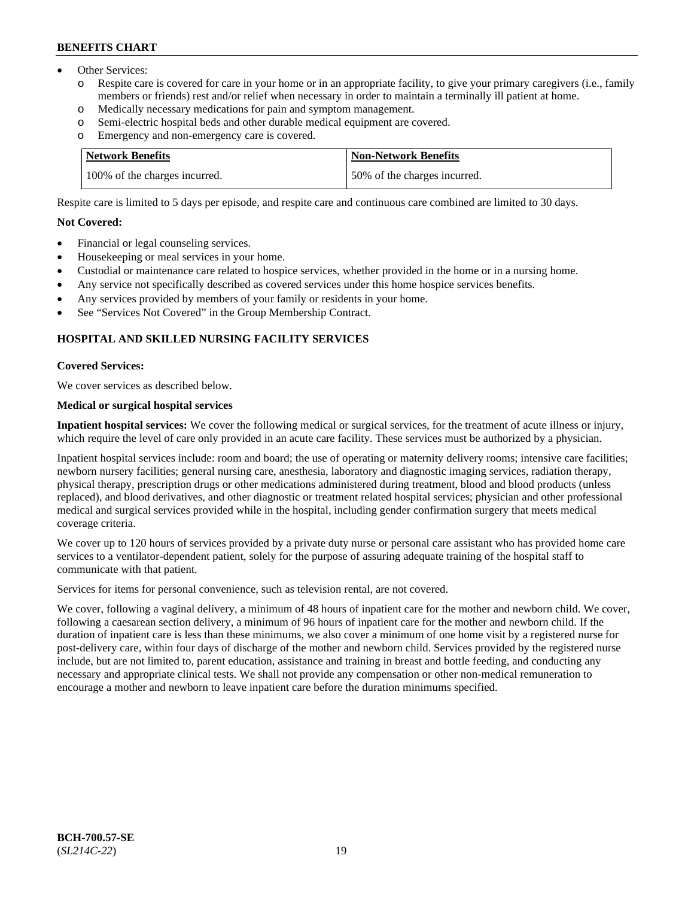- Other Services:
	- Respite care is covered for care in your home or in an appropriate facility, to give your primary caregivers (i.e., family members or friends) rest and/or relief when necessary in order to maintain a terminally ill patient at home.
	- o Medically necessary medications for pain and symptom management.
	- o Semi-electric hospital beds and other durable medical equipment are covered.
	- Emergency and non-emergency care is covered.

| <b>Network Benefits</b>       | Non-Network Benefits         |
|-------------------------------|------------------------------|
| 100% of the charges incurred. | 50% of the charges incurred. |

Respite care is limited to 5 days per episode, and respite care and continuous care combined are limited to 30 days.

#### **Not Covered:**

- Financial or legal counseling services.
- Housekeeping or meal services in your home.
- Custodial or maintenance care related to hospice services, whether provided in the home or in a nursing home.
- Any service not specifically described as covered services under this home hospice services benefits.
- Any services provided by members of your family or residents in your home.
- See "Services Not Covered" in the Group Membership Contract.

### **HOSPITAL AND SKILLED NURSING FACILITY SERVICES**

#### **Covered Services:**

We cover services as described below.

## **Medical or surgical hospital services**

**Inpatient hospital services:** We cover the following medical or surgical services, for the treatment of acute illness or injury, which require the level of care only provided in an acute care facility. These services must be authorized by a physician.

Inpatient hospital services include: room and board; the use of operating or maternity delivery rooms; intensive care facilities; newborn nursery facilities; general nursing care, anesthesia, laboratory and diagnostic imaging services, radiation therapy, physical therapy, prescription drugs or other medications administered during treatment, blood and blood products (unless replaced), and blood derivatives, and other diagnostic or treatment related hospital services; physician and other professional medical and surgical services provided while in the hospital, including gender confirmation surgery that meets medical coverage criteria.

We cover up to 120 hours of services provided by a private duty nurse or personal care assistant who has provided home care services to a ventilator-dependent patient, solely for the purpose of assuring adequate training of the hospital staff to communicate with that patient.

Services for items for personal convenience, such as television rental, are not covered.

We cover, following a vaginal delivery, a minimum of 48 hours of inpatient care for the mother and newborn child. We cover, following a caesarean section delivery, a minimum of 96 hours of inpatient care for the mother and newborn child. If the duration of inpatient care is less than these minimums, we also cover a minimum of one home visit by a registered nurse for post-delivery care, within four days of discharge of the mother and newborn child. Services provided by the registered nurse include, but are not limited to, parent education, assistance and training in breast and bottle feeding, and conducting any necessary and appropriate clinical tests. We shall not provide any compensation or other non-medical remuneration to encourage a mother and newborn to leave inpatient care before the duration minimums specified.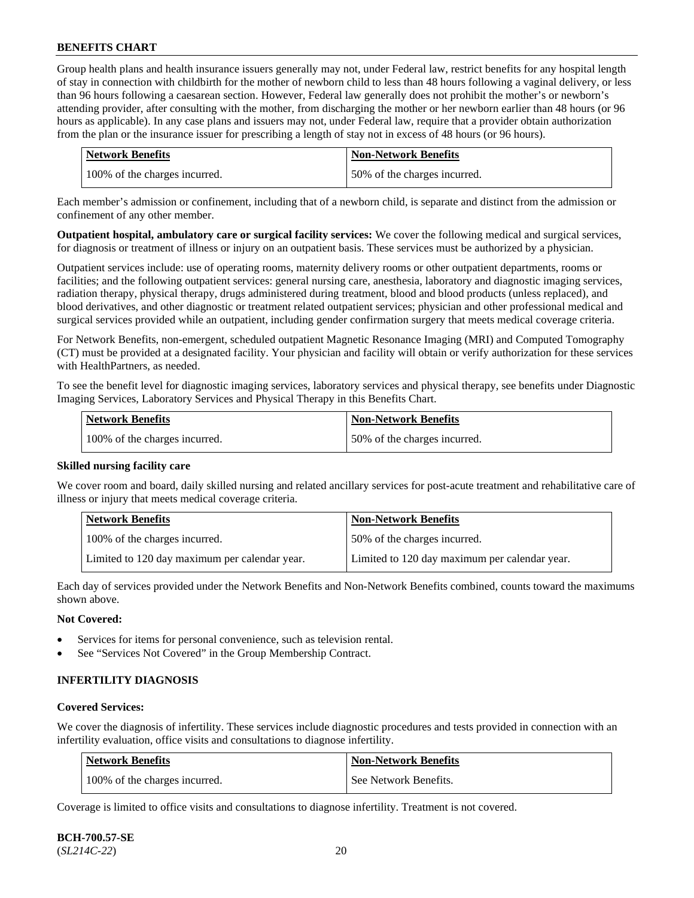Group health plans and health insurance issuers generally may not, under Federal law, restrict benefits for any hospital length of stay in connection with childbirth for the mother of newborn child to less than 48 hours following a vaginal delivery, or less than 96 hours following a caesarean section. However, Federal law generally does not prohibit the mother's or newborn's attending provider, after consulting with the mother, from discharging the mother or her newborn earlier than 48 hours (or 96 hours as applicable). In any case plans and issuers may not, under Federal law, require that a provider obtain authorization from the plan or the insurance issuer for prescribing a length of stay not in excess of 48 hours (or 96 hours).

| <b>Network Benefits</b>       | <b>Non-Network Benefits</b>  |
|-------------------------------|------------------------------|
| 100% of the charges incurred. | 50% of the charges incurred. |

Each member's admission or confinement, including that of a newborn child, is separate and distinct from the admission or confinement of any other member.

**Outpatient hospital, ambulatory care or surgical facility services:** We cover the following medical and surgical services, for diagnosis or treatment of illness or injury on an outpatient basis. These services must be authorized by a physician.

Outpatient services include: use of operating rooms, maternity delivery rooms or other outpatient departments, rooms or facilities; and the following outpatient services: general nursing care, anesthesia, laboratory and diagnostic imaging services, radiation therapy, physical therapy, drugs administered during treatment, blood and blood products (unless replaced), and blood derivatives, and other diagnostic or treatment related outpatient services; physician and other professional medical and surgical services provided while an outpatient, including gender confirmation surgery that meets medical coverage criteria.

For Network Benefits, non-emergent, scheduled outpatient Magnetic Resonance Imaging (MRI) and Computed Tomography (CT) must be provided at a designated facility. Your physician and facility will obtain or verify authorization for these services with HealthPartners, as needed.

To see the benefit level for diagnostic imaging services, laboratory services and physical therapy, see benefits under Diagnostic Imaging Services, Laboratory Services and Physical Therapy in this Benefits Chart.

| <b>Network Benefits</b>       | <b>Non-Network Benefits</b>   |
|-------------------------------|-------------------------------|
| 100% of the charges incurred. | 150% of the charges incurred. |

### **Skilled nursing facility care**

We cover room and board, daily skilled nursing and related ancillary services for post-acute treatment and rehabilitative care of illness or injury that meets medical coverage criteria.

| Network Benefits                              | <b>Non-Network Benefits</b>                   |
|-----------------------------------------------|-----------------------------------------------|
| 100\% of the charges incurred.                | 50% of the charges incurred.                  |
| Limited to 120 day maximum per calendar year. | Limited to 120 day maximum per calendar year. |

Each day of services provided under the Network Benefits and Non-Network Benefits combined, counts toward the maximums shown above.

### **Not Covered:**

- Services for items for personal convenience, such as television rental.
- See "Services Not Covered" in the Group Membership Contract.

### **INFERTILITY DIAGNOSIS**

#### **Covered Services:**

We cover the diagnosis of infertility. These services include diagnostic procedures and tests provided in connection with an infertility evaluation, office visits and consultations to diagnose infertility.

| Network Benefits              | <b>Non-Network Benefits</b> |
|-------------------------------|-----------------------------|
| 100% of the charges incurred. | See Network Benefits.       |

Coverage is limited to office visits and consultations to diagnose infertility. Treatment is not covered.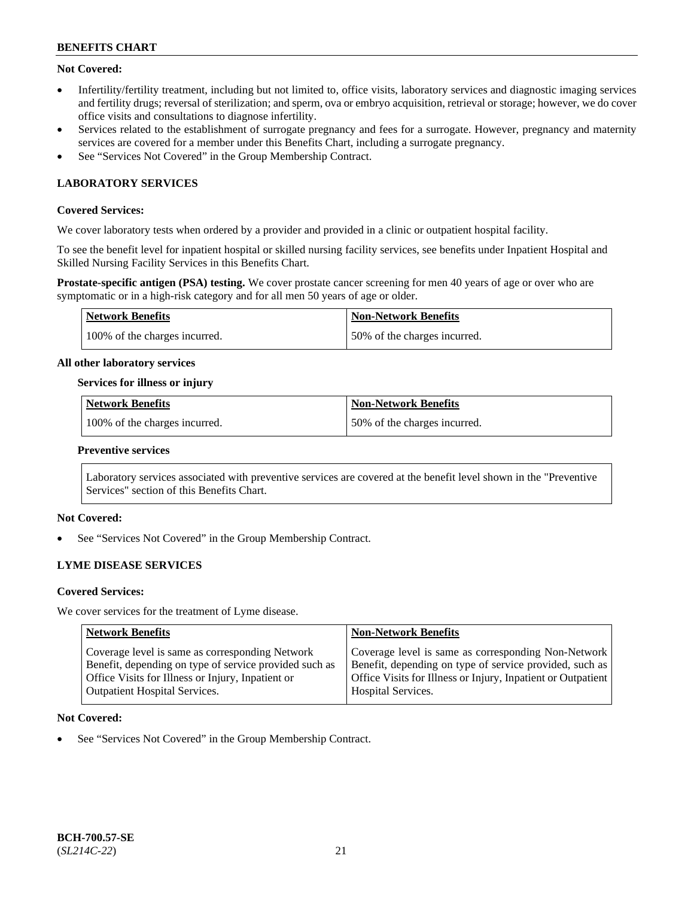### **Not Covered:**

- Infertility/fertility treatment, including but not limited to, office visits, laboratory services and diagnostic imaging services and fertility drugs; reversal of sterilization; and sperm, ova or embryo acquisition, retrieval or storage; however, we do cover office visits and consultations to diagnose infertility.
- Services related to the establishment of surrogate pregnancy and fees for a surrogate. However, pregnancy and maternity services are covered for a member under this Benefits Chart, including a surrogate pregnancy.
- See "Services Not Covered" in the Group Membership Contract.

## **LABORATORY SERVICES**

### **Covered Services:**

We cover laboratory tests when ordered by a provider and provided in a clinic or outpatient hospital facility.

To see the benefit level for inpatient hospital or skilled nursing facility services, see benefits under Inpatient Hospital and Skilled Nursing Facility Services in this Benefits Chart.

**Prostate-specific antigen (PSA) testing.** We cover prostate cancer screening for men 40 years of age or over who are symptomatic or in a high-risk category and for all men 50 years of age or older.

| Network Benefits              | Non-Network Benefits         |
|-------------------------------|------------------------------|
| 100% of the charges incurred. | 50% of the charges incurred. |

#### **All other laboratory services**

#### **Services for illness or injury**

| Network Benefits              | <b>Non-Network Benefits</b>  |
|-------------------------------|------------------------------|
| 100% of the charges incurred. | 50% of the charges incurred. |

#### **Preventive services**

Laboratory services associated with preventive services are covered at the benefit level shown in the "Preventive Services" section of this Benefits Chart.

### **Not Covered:**

See "Services Not Covered" in the Group Membership Contract.

### **LYME DISEASE SERVICES**

#### **Covered Services:**

We cover services for the treatment of Lyme disease.

| <b>Network Benefits</b>                                | <b>Non-Network Benefits</b>                                  |
|--------------------------------------------------------|--------------------------------------------------------------|
| Coverage level is same as corresponding Network        | Coverage level is same as corresponding Non-Network          |
| Benefit, depending on type of service provided such as | Benefit, depending on type of service provided, such as      |
| Office Visits for Illness or Injury, Inpatient or      | Office Visits for Illness or Injury, Inpatient or Outpatient |
| <b>Outpatient Hospital Services.</b>                   | <b>Hospital Services.</b>                                    |

#### **Not Covered:**

See "Services Not Covered" in the Group Membership Contract.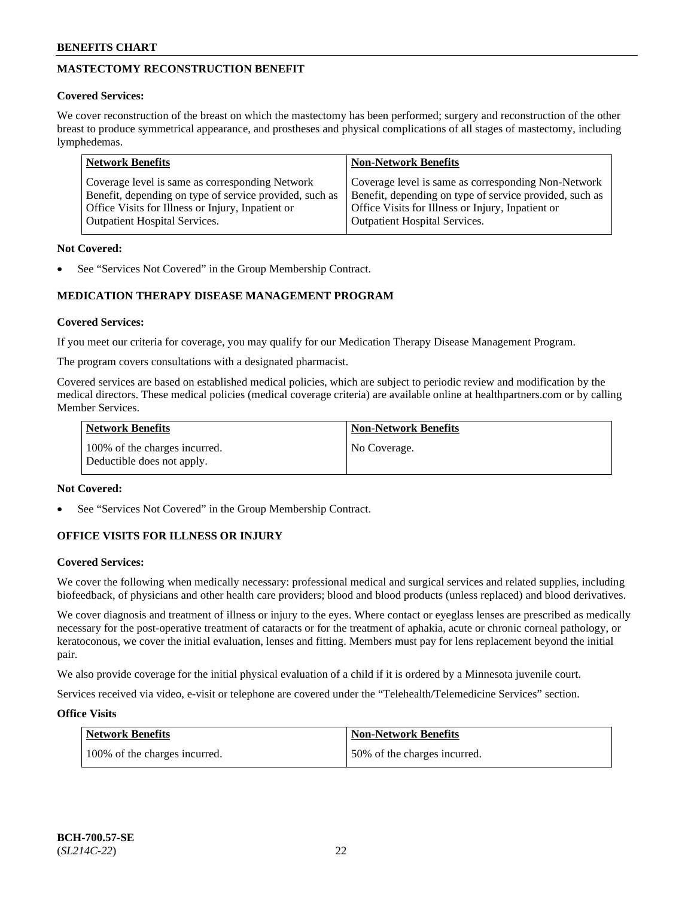## **MASTECTOMY RECONSTRUCTION BENEFIT**

### **Covered Services:**

We cover reconstruction of the breast on which the mastectomy has been performed; surgery and reconstruction of the other breast to produce symmetrical appearance, and prostheses and physical complications of all stages of mastectomy, including lymphedemas.

| <b>Network Benefits</b>                                 | <b>Non-Network Benefits</b>                             |
|---------------------------------------------------------|---------------------------------------------------------|
| Coverage level is same as corresponding Network         | Coverage level is same as corresponding Non-Network     |
| Benefit, depending on type of service provided, such as | Benefit, depending on type of service provided, such as |
| Office Visits for Illness or Injury, Inpatient or       | Office Visits for Illness or Injury, Inpatient or       |
| <b>Outpatient Hospital Services.</b>                    | <b>Outpatient Hospital Services.</b>                    |

### **Not Covered:**

See "Services Not Covered" in the Group Membership Contract.

## **MEDICATION THERAPY DISEASE MANAGEMENT PROGRAM**

### **Covered Services:**

If you meet our criteria for coverage, you may qualify for our Medication Therapy Disease Management Program.

The program covers consultations with a designated pharmacist.

Covered services are based on established medical policies, which are subject to periodic review and modification by the medical directors. These medical policies (medical coverage criteria) are available online at [healthpartners.com](https://www.healthpartners.com/hp/index.html) or by calling Member Services.

| Network Benefits                                            | <b>Non-Network Benefits</b> |
|-------------------------------------------------------------|-----------------------------|
| 100% of the charges incurred.<br>Deductible does not apply. | No Coverage.                |

### **Not Covered:**

See "Services Not Covered" in the Group Membership Contract.

## **OFFICE VISITS FOR ILLNESS OR INJURY**

### **Covered Services:**

We cover the following when medically necessary: professional medical and surgical services and related supplies, including biofeedback, of physicians and other health care providers; blood and blood products (unless replaced) and blood derivatives.

We cover diagnosis and treatment of illness or injury to the eyes. Where contact or eyeglass lenses are prescribed as medically necessary for the post-operative treatment of cataracts or for the treatment of aphakia, acute or chronic corneal pathology, or keratoconous, we cover the initial evaluation, lenses and fitting. Members must pay for lens replacement beyond the initial pair.

We also provide coverage for the initial physical evaluation of a child if it is ordered by a Minnesota juvenile court.

Services received via video, e-visit or telephone are covered under the "Telehealth/Telemedicine Services" section.

### **Office Visits**

| Network Benefits              | <b>Non-Network Benefits</b>  |
|-------------------------------|------------------------------|
| 100% of the charges incurred. | 50% of the charges incurred. |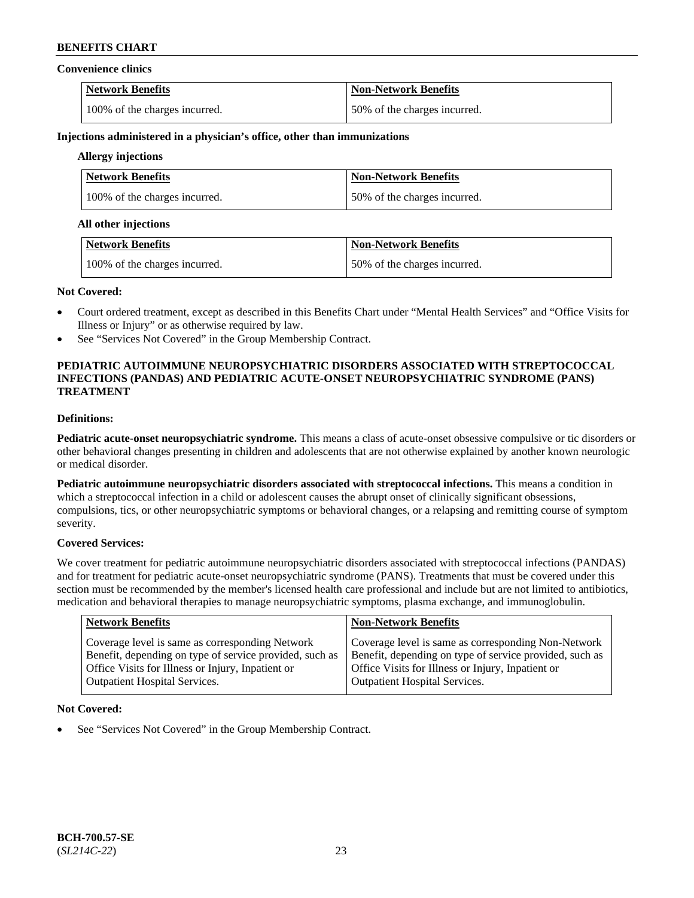#### **Convenience clinics**

| <b>Network Benefits</b>       | <b>Non-Network Benefits</b>  |
|-------------------------------|------------------------------|
| 100% of the charges incurred. | 50% of the charges incurred. |

#### **Injections administered in a physician's office, other than immunizations**

## **Allergy injections**

| <b>Network Benefits</b>       | <b>Non-Network Benefits</b>  |
|-------------------------------|------------------------------|
| 100% of the charges incurred. | 50% of the charges incurred. |

#### **All other injections**

| Network Benefits              | Non-Network Benefits          |
|-------------------------------|-------------------------------|
| 100% of the charges incurred. | 150% of the charges incurred. |

#### **Not Covered:**

- Court ordered treatment, except as described in this Benefits Chart under "Mental Health Services" and "Office Visits for Illness or Injury" or as otherwise required by law.
- See "Services Not Covered" in the Group Membership Contract.

### **PEDIATRIC AUTOIMMUNE NEUROPSYCHIATRIC DISORDERS ASSOCIATED WITH STREPTOCOCCAL INFECTIONS (PANDAS) AND PEDIATRIC ACUTE-ONSET NEUROPSYCHIATRIC SYNDROME (PANS) TREATMENT**

## **Definitions:**

**Pediatric acute-onset neuropsychiatric syndrome.** This means a class of acute-onset obsessive compulsive or tic disorders or other behavioral changes presenting in children and adolescents that are not otherwise explained by another known neurologic or medical disorder.

**Pediatric autoimmune neuropsychiatric disorders associated with streptococcal infections.** This means a condition in which a streptococcal infection in a child or adolescent causes the abrupt onset of clinically significant obsessions, compulsions, tics, or other neuropsychiatric symptoms or behavioral changes, or a relapsing and remitting course of symptom severity.

### **Covered Services:**

We cover treatment for pediatric autoimmune neuropsychiatric disorders associated with streptococcal infections (PANDAS) and for treatment for pediatric acute-onset neuropsychiatric syndrome (PANS). Treatments that must be covered under this section must be recommended by the member's licensed health care professional and include but are not limited to antibiotics, medication and behavioral therapies to manage neuropsychiatric symptoms, plasma exchange, and immunoglobulin.

| <b>Network Benefits</b>                                 | <b>Non-Network Benefits</b>                             |
|---------------------------------------------------------|---------------------------------------------------------|
| Coverage level is same as corresponding Network         | Coverage level is same as corresponding Non-Network     |
| Benefit, depending on type of service provided, such as | Benefit, depending on type of service provided, such as |
| Office Visits for Illness or Injury, Inpatient or       | Office Visits for Illness or Injury, Inpatient or       |
| <b>Outpatient Hospital Services.</b>                    | Outpatient Hospital Services.                           |

### **Not Covered:**

See "Services Not Covered" in the Group Membership Contract.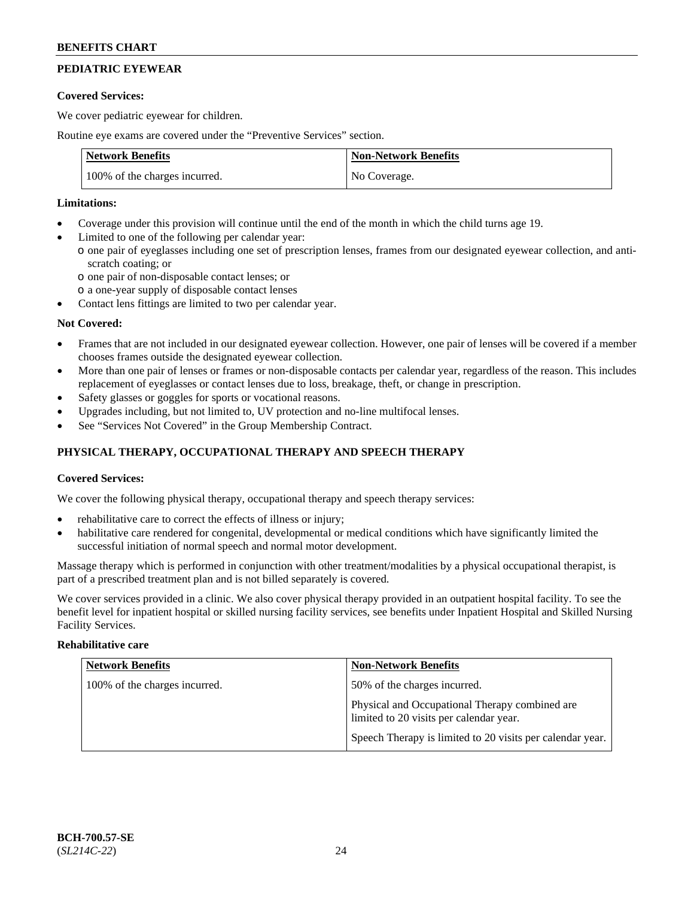## **PEDIATRIC EYEWEAR**

### **Covered Services:**

We cover pediatric eyewear for children.

Routine eye exams are covered under the "Preventive Services" section.

| <b>Network Benefits</b>       | <b>Non-Network Benefits</b> |
|-------------------------------|-----------------------------|
| 100% of the charges incurred. | No Coverage.                |

### **Limitations:**

- Coverage under this provision will continue until the end of the month in which the child turns age 19.
- Limited to one of the following per calendar year:
	- o one pair of eyeglasses including one set of prescription lenses, frames from our designated eyewear collection, and antiscratch coating; or
		- o one pair of non-disposable contact lenses; or
		- o a one-year supply of disposable contact lenses
- Contact lens fittings are limited to two per calendar year.

### **Not Covered:**

- Frames that are not included in our designated eyewear collection. However, one pair of lenses will be covered if a member chooses frames outside the designated eyewear collection.
- More than one pair of lenses or frames or non-disposable contacts per calendar year, regardless of the reason. This includes replacement of eyeglasses or contact lenses due to loss, breakage, theft, or change in prescription.
- Safety glasses or goggles for sports or vocational reasons.
- Upgrades including, but not limited to, UV protection and no-line multifocal lenses.
- See "Services Not Covered" in the Group Membership Contract.

## **PHYSICAL THERAPY, OCCUPATIONAL THERAPY AND SPEECH THERAPY**

### **Covered Services:**

We cover the following physical therapy, occupational therapy and speech therapy services:

- rehabilitative care to correct the effects of illness or injury;
- habilitative care rendered for congenital, developmental or medical conditions which have significantly limited the successful initiation of normal speech and normal motor development.

Massage therapy which is performed in conjunction with other treatment/modalities by a physical occupational therapist, is part of a prescribed treatment plan and is not billed separately is covered.

We cover services provided in a clinic. We also cover physical therapy provided in an outpatient hospital facility. To see the benefit level for inpatient hospital or skilled nursing facility services, see benefits under Inpatient Hospital and Skilled Nursing Facility Services.

#### **Rehabilitative care**

| <b>Network Benefits</b>       | <b>Non-Network Benefits</b>                                                               |
|-------------------------------|-------------------------------------------------------------------------------------------|
| 100% of the charges incurred. | 50% of the charges incurred.                                                              |
|                               | Physical and Occupational Therapy combined are<br>limited to 20 visits per calendar year. |
|                               | Speech Therapy is limited to 20 visits per calendar year.                                 |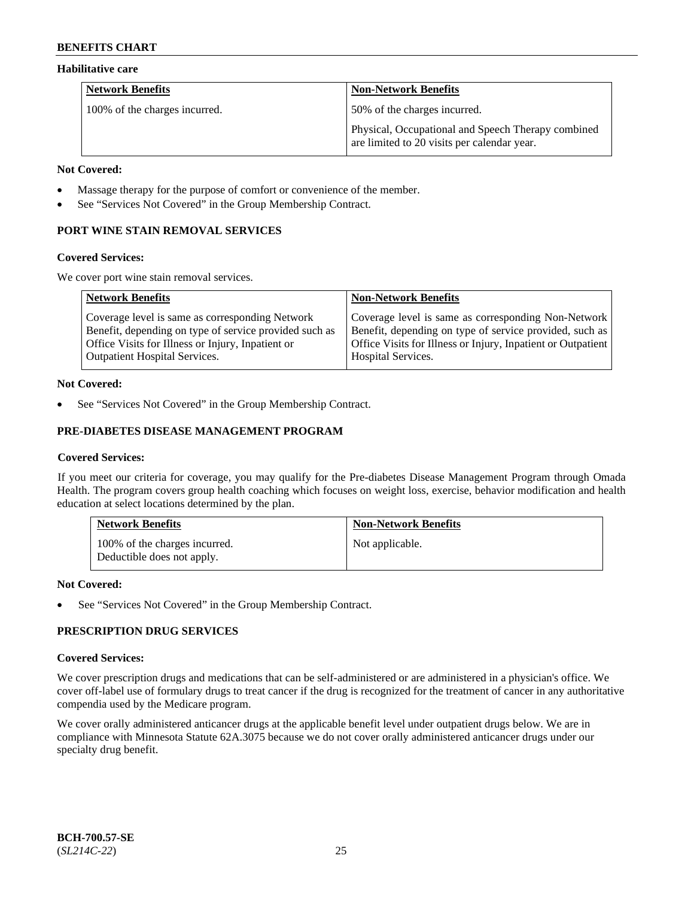### **Habilitative care**

| <b>Network Benefits</b>       | <b>Non-Network Benefits</b>                                                                       |
|-------------------------------|---------------------------------------------------------------------------------------------------|
| 100% of the charges incurred. | 50% of the charges incurred.                                                                      |
|                               | Physical, Occupational and Speech Therapy combined<br>are limited to 20 visits per calendar year. |

#### **Not Covered:**

- Massage therapy for the purpose of comfort or convenience of the member.
- See "Services Not Covered" in the Group Membership Contract.

## **PORT WINE STAIN REMOVAL SERVICES**

#### **Covered Services:**

We cover port wine stain removal services.

| <b>Network Benefits</b>                                | <b>Non-Network Benefits</b>                                  |
|--------------------------------------------------------|--------------------------------------------------------------|
| Coverage level is same as corresponding Network        | Coverage level is same as corresponding Non-Network          |
| Benefit, depending on type of service provided such as | Benefit, depending on type of service provided, such as      |
| Office Visits for Illness or Injury, Inpatient or      | Office Visits for Illness or Injury, Inpatient or Outpatient |
| <b>Outpatient Hospital Services.</b>                   | Hospital Services.                                           |

### **Not Covered:**

See "Services Not Covered" in the Group Membership Contract.

## **PRE-DIABETES DISEASE MANAGEMENT PROGRAM**

### **Covered Services:**

If you meet our criteria for coverage, you may qualify for the Pre-diabetes Disease Management Program through Omada Health. The program covers group health coaching which focuses on weight loss, exercise, behavior modification and health education at select locations determined by the plan.

| <b>Network Benefits</b>                                     | <b>Non-Network Benefits</b> |
|-------------------------------------------------------------|-----------------------------|
| 100% of the charges incurred.<br>Deductible does not apply. | Not applicable.             |

### **Not Covered:**

See "Services Not Covered" in the Group Membership Contract.

## **PRESCRIPTION DRUG SERVICES**

### **Covered Services:**

We cover prescription drugs and medications that can be self-administered or are administered in a physician's office. We cover off-label use of formulary drugs to treat cancer if the drug is recognized for the treatment of cancer in any authoritative compendia used by the Medicare program.

We cover orally administered anticancer drugs at the applicable benefit level under outpatient drugs below. We are in compliance with Minnesota Statute 62A.3075 because we do not cover orally administered anticancer drugs under our specialty drug benefit.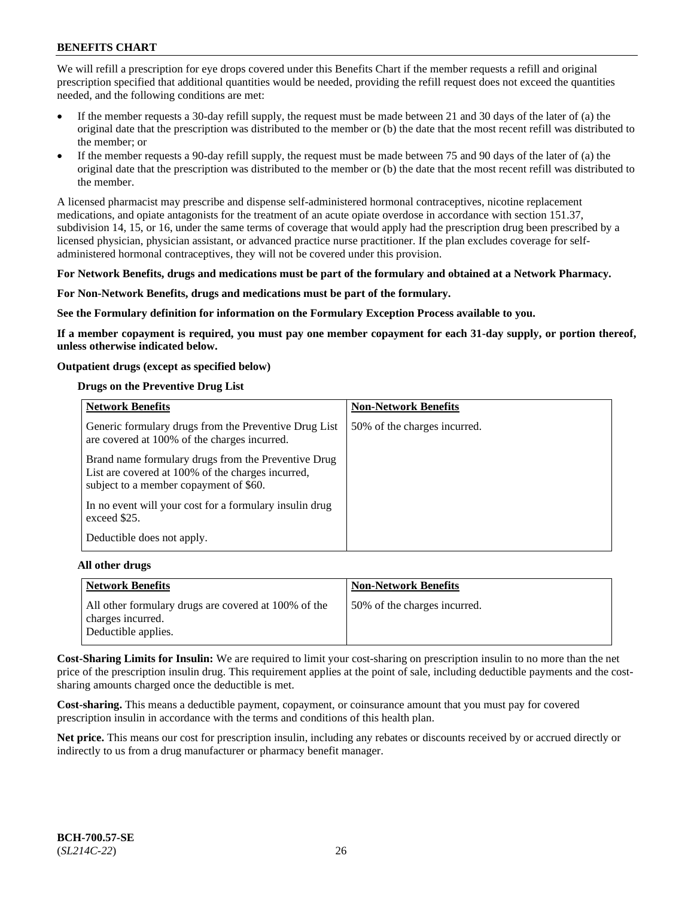We will refill a prescription for eye drops covered under this Benefits Chart if the member requests a refill and original prescription specified that additional quantities would be needed, providing the refill request does not exceed the quantities needed, and the following conditions are met:

- If the member requests a 30-day refill supply, the request must be made between 21 and 30 days of the later of (a) the original date that the prescription was distributed to the member or (b) the date that the most recent refill was distributed to the member; or
- If the member requests a 90-day refill supply, the request must be made between 75 and 90 days of the later of (a) the original date that the prescription was distributed to the member or (b) the date that the most recent refill was distributed to the member.

A licensed pharmacist may prescribe and dispense self-administered hormonal contraceptives, nicotine replacement medications, and opiate antagonists for the treatment of an acute opiate overdose in accordance with section 151.37, subdivision 14, 15, or 16, under the same terms of coverage that would apply had the prescription drug been prescribed by a licensed physician, physician assistant, or advanced practice nurse practitioner. If the plan excludes coverage for selfadministered hormonal contraceptives, they will not be covered under this provision.

#### **For Network Benefits, drugs and medications must be part of the formulary and obtained at a Network Pharmacy.**

#### **For Non-Network Benefits, drugs and medications must be part of the formulary.**

**See the Formulary definition for information on the Formulary Exception Process available to you.**

**If a member copayment is required, you must pay one member copayment for each 31-day supply, or portion thereof, unless otherwise indicated below.**

#### **Outpatient drugs (except as specified below)**

#### **Drugs on the Preventive Drug List**

| <b>Network Benefits</b>                                                                                                                            | <b>Non-Network Benefits</b>  |
|----------------------------------------------------------------------------------------------------------------------------------------------------|------------------------------|
| Generic formulary drugs from the Preventive Drug List<br>are covered at 100% of the charges incurred.                                              | 50% of the charges incurred. |
| Brand name formulary drugs from the Preventive Drug<br>List are covered at 100% of the charges incurred,<br>subject to a member copayment of \$60. |                              |
| In no event will your cost for a formulary insulin drug<br>exceed \$25.                                                                            |                              |
| Deductible does not apply.                                                                                                                         |                              |

#### **All other drugs**

| <b>Network Benefits</b>                                                   | <b>Non-Network Benefits</b>  |
|---------------------------------------------------------------------------|------------------------------|
| All other formulary drugs are covered at 100% of the<br>charges incurred. | 50% of the charges incurred. |
| Deductible applies.                                                       |                              |

**Cost-Sharing Limits for Insulin:** We are required to limit your cost-sharing on prescription insulin to no more than the net price of the prescription insulin drug. This requirement applies at the point of sale, including deductible payments and the costsharing amounts charged once the deductible is met.

**Cost-sharing.** This means a deductible payment, copayment, or coinsurance amount that you must pay for covered prescription insulin in accordance with the terms and conditions of this health plan.

**Net price.** This means our cost for prescription insulin, including any rebates or discounts received by or accrued directly or indirectly to us from a drug manufacturer or pharmacy benefit manager.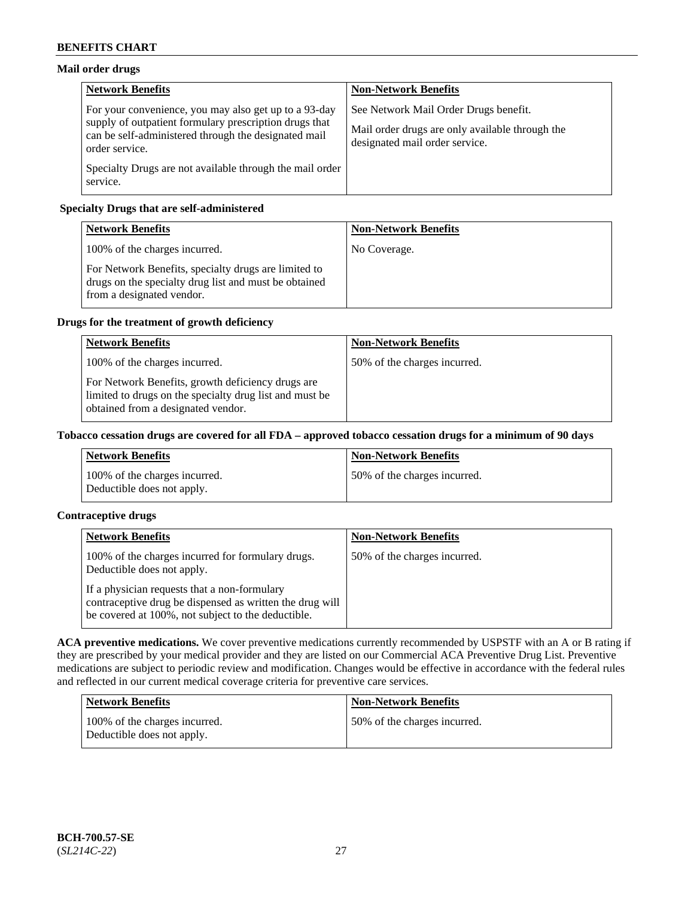## **Mail order drugs**

| <b>Network Benefits</b>                                                                                                                                                                   | <b>Non-Network Benefits</b>                                                                                                |
|-------------------------------------------------------------------------------------------------------------------------------------------------------------------------------------------|----------------------------------------------------------------------------------------------------------------------------|
| For your convenience, you may also get up to a 93-day<br>supply of outpatient formulary prescription drugs that<br>can be self-administered through the designated mail<br>order service. | See Network Mail Order Drugs benefit.<br>Mail order drugs are only available through the<br>designated mail order service. |
| Specialty Drugs are not available through the mail order<br>service.                                                                                                                      |                                                                                                                            |

## **Specialty Drugs that are self-administered**

| <b>Network Benefits</b>                                                                                                                    | <b>Non-Network Benefits</b> |
|--------------------------------------------------------------------------------------------------------------------------------------------|-----------------------------|
| 100% of the charges incurred.                                                                                                              | No Coverage.                |
| For Network Benefits, specialty drugs are limited to<br>drugs on the specialty drug list and must be obtained<br>from a designated vendor. |                             |

## **Drugs for the treatment of growth deficiency**

| <b>Network Benefits</b>                                                                                                                            | <b>Non-Network Benefits</b>  |
|----------------------------------------------------------------------------------------------------------------------------------------------------|------------------------------|
| 100% of the charges incurred.                                                                                                                      | 50% of the charges incurred. |
| For Network Benefits, growth deficiency drugs are<br>limited to drugs on the specialty drug list and must be<br>obtained from a designated vendor. |                              |

### **Tobacco cessation drugs are covered for all FDA – approved tobacco cessation drugs for a minimum of 90 days**

| <b>Network Benefits</b>                                     | <b>Non-Network Benefits</b>  |
|-------------------------------------------------------------|------------------------------|
| 100% of the charges incurred.<br>Deductible does not apply. | 50% of the charges incurred. |

## **Contraceptive drugs**

| <b>Network Benefits</b>                                                                                                                                        | <b>Non-Network Benefits</b>  |
|----------------------------------------------------------------------------------------------------------------------------------------------------------------|------------------------------|
| 100% of the charges incurred for formulary drugs.<br>Deductible does not apply.                                                                                | 50% of the charges incurred. |
| If a physician requests that a non-formulary<br>contraceptive drug be dispensed as written the drug will<br>be covered at 100%, not subject to the deductible. |                              |

**ACA preventive medications.** We cover preventive medications currently recommended by USPSTF with an A or B rating if they are prescribed by your medical provider and they are listed on our Commercial ACA Preventive Drug List. Preventive medications are subject to periodic review and modification. Changes would be effective in accordance with the federal rules and reflected in our current medical coverage criteria for preventive care services.

| Network Benefits                                            | <b>Non-Network Benefits</b>  |
|-------------------------------------------------------------|------------------------------|
| 100% of the charges incurred.<br>Deductible does not apply. | 50% of the charges incurred. |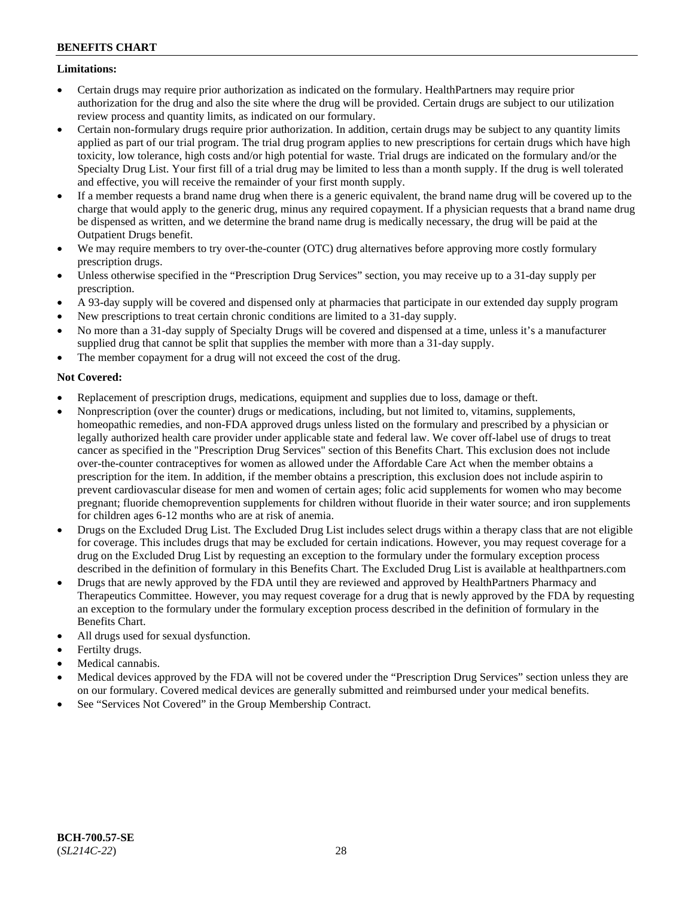### **Limitations:**

- Certain drugs may require prior authorization as indicated on the formulary. HealthPartners may require prior authorization for the drug and also the site where the drug will be provided. Certain drugs are subject to our utilization review process and quantity limits, as indicated on our formulary.
- Certain non-formulary drugs require prior authorization. In addition, certain drugs may be subject to any quantity limits applied as part of our trial program. The trial drug program applies to new prescriptions for certain drugs which have high toxicity, low tolerance, high costs and/or high potential for waste. Trial drugs are indicated on the formulary and/or the Specialty Drug List. Your first fill of a trial drug may be limited to less than a month supply. If the drug is well tolerated and effective, you will receive the remainder of your first month supply.
- If a member requests a brand name drug when there is a generic equivalent, the brand name drug will be covered up to the charge that would apply to the generic drug, minus any required copayment. If a physician requests that a brand name drug be dispensed as written, and we determine the brand name drug is medically necessary, the drug will be paid at the Outpatient Drugs benefit.
- We may require members to try over-the-counter (OTC) drug alternatives before approving more costly formulary prescription drugs.
- Unless otherwise specified in the "Prescription Drug Services" section, you may receive up to a 31-day supply per prescription.
- A 93-day supply will be covered and dispensed only at pharmacies that participate in our extended day supply program
- New prescriptions to treat certain chronic conditions are limited to a 31-day supply.
- No more than a 31-day supply of Specialty Drugs will be covered and dispensed at a time, unless it's a manufacturer supplied drug that cannot be split that supplies the member with more than a 31-day supply.
- The member copayment for a drug will not exceed the cost of the drug.

## **Not Covered:**

- Replacement of prescription drugs, medications, equipment and supplies due to loss, damage or theft.
- Nonprescription (over the counter) drugs or medications, including, but not limited to, vitamins, supplements, homeopathic remedies, and non-FDA approved drugs unless listed on the formulary and prescribed by a physician or legally authorized health care provider under applicable state and federal law. We cover off-label use of drugs to treat cancer as specified in the "Prescription Drug Services" section of this Benefits Chart. This exclusion does not include over-the-counter contraceptives for women as allowed under the Affordable Care Act when the member obtains a prescription for the item. In addition, if the member obtains a prescription, this exclusion does not include aspirin to prevent cardiovascular disease for men and women of certain ages; folic acid supplements for women who may become pregnant; fluoride chemoprevention supplements for children without fluoride in their water source; and iron supplements for children ages 6-12 months who are at risk of anemia.
- Drugs on the Excluded Drug List. The Excluded Drug List includes select drugs within a therapy class that are not eligible for coverage. This includes drugs that may be excluded for certain indications. However, you may request coverage for a drug on the Excluded Drug List by requesting an exception to the formulary under the formulary exception process described in the definition of formulary in this Benefits Chart. The Excluded Drug List is available at [healthpartners.com](http://www.healthpartners.com/)
- Drugs that are newly approved by the FDA until they are reviewed and approved by HealthPartners Pharmacy and Therapeutics Committee. However, you may request coverage for a drug that is newly approved by the FDA by requesting an exception to the formulary under the formulary exception process described in the definition of formulary in the Benefits Chart.
- All drugs used for sexual dysfunction.
- Fertilty drugs.
- Medical cannabis.
- Medical devices approved by the FDA will not be covered under the "Prescription Drug Services" section unless they are on our formulary. Covered medical devices are generally submitted and reimbursed under your medical benefits.
- See "Services Not Covered" in the Group Membership Contract.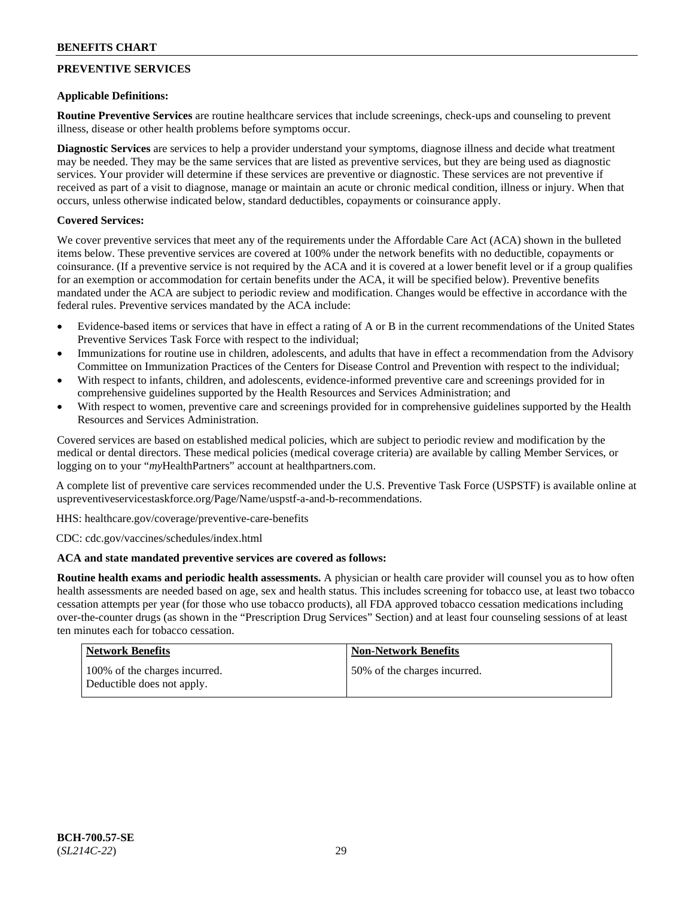## **PREVENTIVE SERVICES**

### **Applicable Definitions:**

**Routine Preventive Services** are routine healthcare services that include screenings, check-ups and counseling to prevent illness, disease or other health problems before symptoms occur.

**Diagnostic Services** are services to help a provider understand your symptoms, diagnose illness and decide what treatment may be needed. They may be the same services that are listed as preventive services, but they are being used as diagnostic services. Your provider will determine if these services are preventive or diagnostic. These services are not preventive if received as part of a visit to diagnose, manage or maintain an acute or chronic medical condition, illness or injury. When that occurs, unless otherwise indicated below, standard deductibles, copayments or coinsurance apply.

### **Covered Services:**

We cover preventive services that meet any of the requirements under the Affordable Care Act (ACA) shown in the bulleted items below. These preventive services are covered at 100% under the network benefits with no deductible, copayments or coinsurance. (If a preventive service is not required by the ACA and it is covered at a lower benefit level or if a group qualifies for an exemption or accommodation for certain benefits under the ACA, it will be specified below). Preventive benefits mandated under the ACA are subject to periodic review and modification. Changes would be effective in accordance with the federal rules. Preventive services mandated by the ACA include:

- Evidence-based items or services that have in effect a rating of A or B in the current recommendations of the United States Preventive Services Task Force with respect to the individual;
- Immunizations for routine use in children, adolescents, and adults that have in effect a recommendation from the Advisory Committee on Immunization Practices of the Centers for Disease Control and Prevention with respect to the individual;
- With respect to infants, children, and adolescents, evidence-informed preventive care and screenings provided for in comprehensive guidelines supported by the Health Resources and Services Administration; and
- With respect to women, preventive care and screenings provided for in comprehensive guidelines supported by the Health Resources and Services Administration.

Covered services are based on established medical policies, which are subject to periodic review and modification by the medical or dental directors. These medical policies (medical coverage criteria) are available by calling Member Services, or logging on to your "*my*HealthPartners" account at [healthpartners.com.](http://www.healthpartners.com/)

A complete list of preventive care services recommended under the U.S. Preventive Task Force (USPSTF) is available online at [uspreventiveservicestaskforce.org/Page/Name/uspstf-a-and-b-recommendations.](https://www.uspreventiveservicestaskforce.org/Page/Name/uspstf-a-and-b-recommendations-by-date/)

HHS: [healthcare.gov/coverage/preventive-care-benefits](https://www.healthcare.gov/coverage/preventive-care-benefits/)

CDC: [cdc.gov/vaccines/schedules/index.html](https://www.cdc.gov/vaccines/schedules/index.html)

### **ACA and state mandated preventive services are covered as follows:**

**Routine health exams and periodic health assessments.** A physician or health care provider will counsel you as to how often health assessments are needed based on age, sex and health status. This includes screening for tobacco use, at least two tobacco cessation attempts per year (for those who use tobacco products), all FDA approved tobacco cessation medications including over-the-counter drugs (as shown in the "Prescription Drug Services" Section) and at least four counseling sessions of at least ten minutes each for tobacco cessation.

| <b>Network Benefits</b>                                     | <b>Non-Network Benefits</b>  |
|-------------------------------------------------------------|------------------------------|
| 100% of the charges incurred.<br>Deductible does not apply. | 50% of the charges incurred. |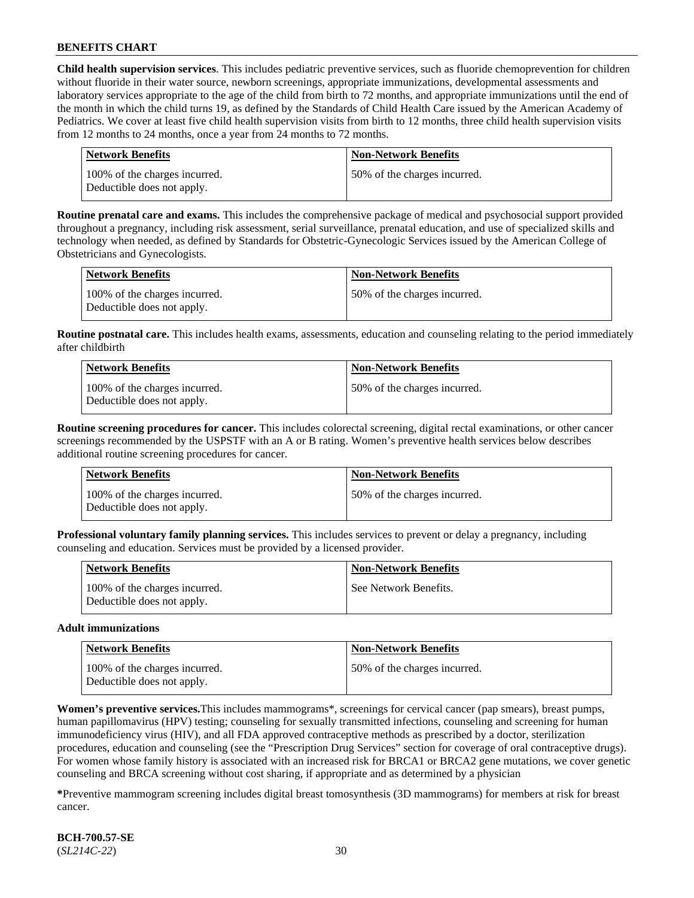**Child health supervision services**. This includes pediatric preventive services, such as fluoride chemoprevention for children without fluoride in their water source, newborn screenings, appropriate immunizations, developmental assessments and laboratory services appropriate to the age of the child from birth to 72 months, and appropriate immunizations until the end of the month in which the child turns 19, as defined by the Standards of Child Health Care issued by the American Academy of Pediatrics. We cover at least five child health supervision visits from birth to 12 months, three child health supervision visits from 12 months to 24 months, once a year from 24 months to 72 months.

| Network Benefits                                            | <b>Non-Network Benefits</b>  |
|-------------------------------------------------------------|------------------------------|
| 100% of the charges incurred.<br>Deductible does not apply. | 50% of the charges incurred. |

**Routine prenatal care and exams.** This includes the comprehensive package of medical and psychosocial support provided throughout a pregnancy, including risk assessment, serial surveillance, prenatal education, and use of specialized skills and technology when needed, as defined by Standards for Obstetric-Gynecologic Services issued by the American College of Obstetricians and Gynecologists.

| Network Benefits                                            | <b>Non-Network Benefits</b>  |
|-------------------------------------------------------------|------------------------------|
| 100% of the charges incurred.<br>Deductible does not apply. | 50% of the charges incurred. |

**Routine postnatal care.** This includes health exams, assessments, education and counseling relating to the period immediately after childbirth

| Network Benefits                                            | <b>Non-Network Benefits</b>  |
|-------------------------------------------------------------|------------------------------|
| 100% of the charges incurred.<br>Deductible does not apply. | 50% of the charges incurred. |

**Routine screening procedures for cancer.** This includes colorectal screening, digital rectal examinations, or other cancer screenings recommended by the USPSTF with an A or B rating. Women's preventive health services below describes additional routine screening procedures for cancer.

| Network Benefits                                            | <b>Non-Network Benefits</b>  |
|-------------------------------------------------------------|------------------------------|
| 100% of the charges incurred.<br>Deductible does not apply. | 50% of the charges incurred. |

**Professional voluntary family planning services.** This includes services to prevent or delay a pregnancy, including counseling and education. Services must be provided by a licensed provider.

| <b>Network Benefits</b>                                     | <b>Non-Network Benefits</b> |
|-------------------------------------------------------------|-----------------------------|
| 100% of the charges incurred.<br>Deductible does not apply. | See Network Benefits.       |

#### **Adult immunizations**

| Network Benefits                                            | <b>Non-Network Benefits</b>  |
|-------------------------------------------------------------|------------------------------|
| 100% of the charges incurred.<br>Deductible does not apply. | 50% of the charges incurred. |

**Women's preventive services.**This includes mammograms\*, screenings for cervical cancer (pap smears), breast pumps, human papillomavirus (HPV) testing; counseling for sexually transmitted infections, counseling and screening for human immunodeficiency virus (HIV), and all FDA approved contraceptive methods as prescribed by a doctor, sterilization procedures, education and counseling (see the "Prescription Drug Services" section for coverage of oral contraceptive drugs). For women whose family history is associated with an increased risk for BRCA1 or BRCA2 gene mutations, we cover genetic counseling and BRCA screening without cost sharing, if appropriate and as determined by a physician

**\***Preventive mammogram screening includes digital breast tomosynthesis (3D mammograms) for members at risk for breast cancer.

**BCH-700.57-SE** (*SL214C-22*) 30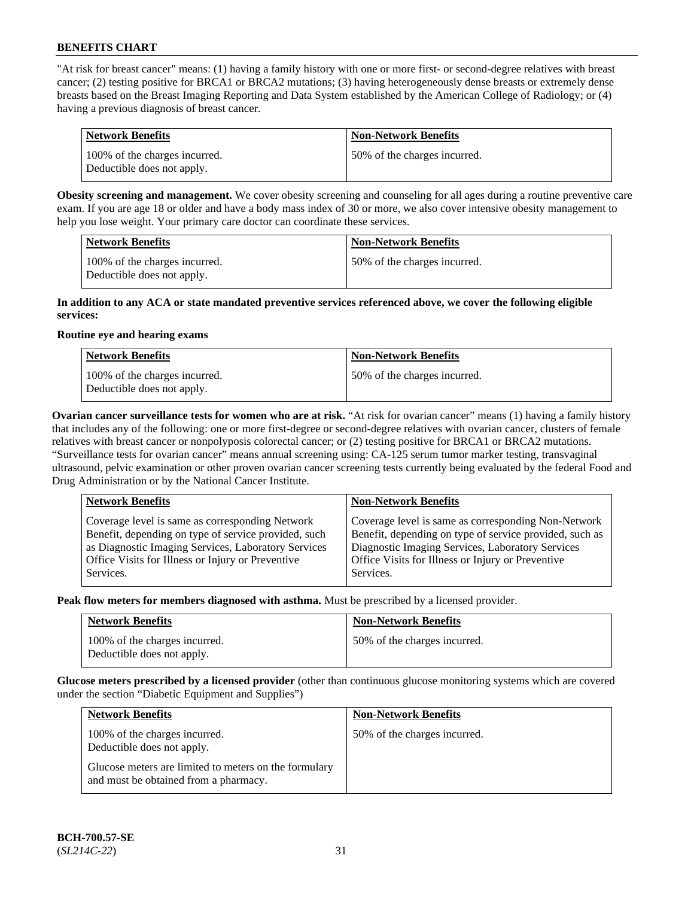"At risk for breast cancer" means: (1) having a family history with one or more first- or second-degree relatives with breast cancer; (2) testing positive for BRCA1 or BRCA2 mutations; (3) having heterogeneously dense breasts or extremely dense breasts based on the Breast Imaging Reporting and Data System established by the American College of Radiology; or (4) having a previous diagnosis of breast cancer.

| Network Benefits                                            | <b>Non-Network Benefits</b>  |
|-------------------------------------------------------------|------------------------------|
| 100% of the charges incurred.<br>Deductible does not apply. | 50% of the charges incurred. |

**Obesity screening and management.** We cover obesity screening and counseling for all ages during a routine preventive care exam. If you are age 18 or older and have a body mass index of 30 or more, we also cover intensive obesity management to help you lose weight. Your primary care doctor can coordinate these services.

| <b>Network Benefits</b>                                     | <b>Non-Network Benefits</b>  |
|-------------------------------------------------------------|------------------------------|
| 100% of the charges incurred.<br>Deductible does not apply. | 50% of the charges incurred. |

#### **In addition to any ACA or state mandated preventive services referenced above, we cover the following eligible services:**

#### **Routine eye and hearing exams**

| <b>Network Benefits</b>                                     | <b>Non-Network Benefits</b>  |
|-------------------------------------------------------------|------------------------------|
| 100% of the charges incurred.<br>Deductible does not apply. | 50% of the charges incurred. |

**Ovarian cancer surveillance tests for women who are at risk.** "At risk for ovarian cancer" means (1) having a family history that includes any of the following: one or more first-degree or second-degree relatives with ovarian cancer, clusters of female relatives with breast cancer or nonpolyposis colorectal cancer; or (2) testing positive for BRCA1 or BRCA2 mutations. "Surveillance tests for ovarian cancer" means annual screening using: CA-125 serum tumor marker testing, transvaginal ultrasound, pelvic examination or other proven ovarian cancer screening tests currently being evaluated by the federal Food and Drug Administration or by the National Cancer Institute.

| <b>Network Benefits</b>                                                                                                                                                                                                          | <b>Non-Network Benefits</b>                                                                                                                                                                                                          |
|----------------------------------------------------------------------------------------------------------------------------------------------------------------------------------------------------------------------------------|--------------------------------------------------------------------------------------------------------------------------------------------------------------------------------------------------------------------------------------|
| Coverage level is same as corresponding Network<br>Benefit, depending on type of service provided, such<br>as Diagnostic Imaging Services, Laboratory Services<br>Office Visits for Illness or Injury or Preventive<br>Services. | Coverage level is same as corresponding Non-Network<br>Benefit, depending on type of service provided, such as<br>Diagnostic Imaging Services, Laboratory Services<br>Office Visits for Illness or Injury or Preventive<br>Services. |
|                                                                                                                                                                                                                                  |                                                                                                                                                                                                                                      |

**Peak flow meters for members diagnosed with asthma.** Must be prescribed by a licensed provider.

| <b>Network Benefits</b>                                     | <b>Non-Network Benefits</b>  |
|-------------------------------------------------------------|------------------------------|
| 100% of the charges incurred.<br>Deductible does not apply. | 50% of the charges incurred. |

**Glucose meters prescribed by a licensed provider** (other than continuous glucose monitoring systems which are covered under the section "Diabetic Equipment and Supplies")

| <b>Network Benefits</b>                                                                        | <b>Non-Network Benefits</b>  |
|------------------------------------------------------------------------------------------------|------------------------------|
| 100% of the charges incurred.<br>Deductible does not apply.                                    | 50% of the charges incurred. |
| Glucose meters are limited to meters on the formulary<br>and must be obtained from a pharmacy. |                              |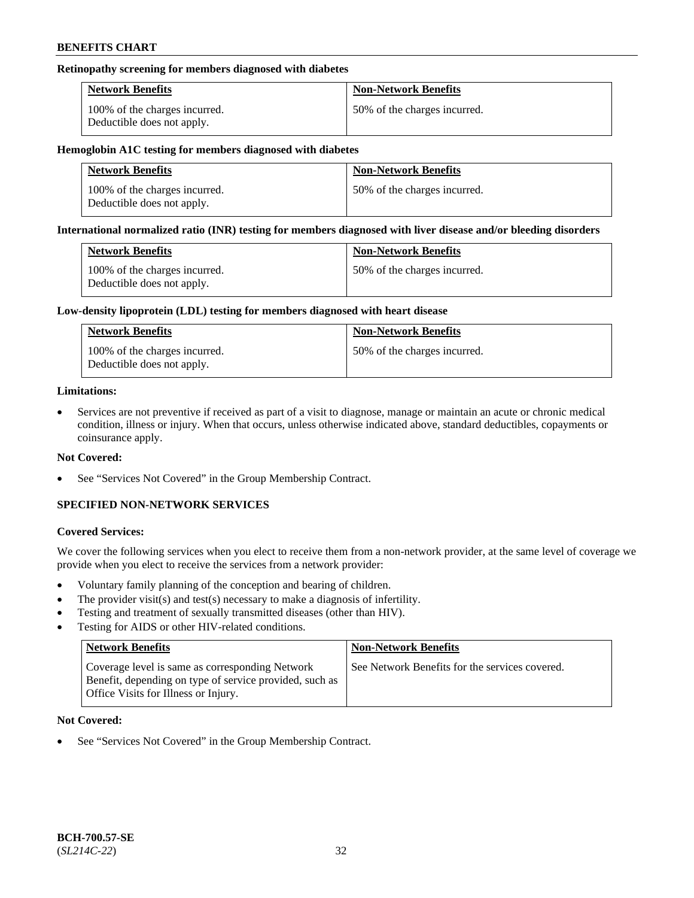### **Retinopathy screening for members diagnosed with diabetes**

| <b>Network Benefits</b>                                     | <b>Non-Network Benefits</b>  |
|-------------------------------------------------------------|------------------------------|
| 100% of the charges incurred.<br>Deductible does not apply. | 50% of the charges incurred. |

#### **Hemoglobin A1C testing for members diagnosed with diabetes**

| <b>Network Benefits</b>                                     | <b>Non-Network Benefits</b>  |
|-------------------------------------------------------------|------------------------------|
| 100% of the charges incurred.<br>Deductible does not apply. | 50% of the charges incurred. |

#### **International normalized ratio (INR) testing for members diagnosed with liver disease and/or bleeding disorders**

| <b>Network Benefits</b>                                     | <b>Non-Network Benefits</b>  |
|-------------------------------------------------------------|------------------------------|
| 100% of the charges incurred.<br>Deductible does not apply. | 50% of the charges incurred. |

#### **Low-density lipoprotein (LDL) testing for members diagnosed with heart disease**

| <b>Network Benefits</b>                                     | <b>Non-Network Benefits</b>  |
|-------------------------------------------------------------|------------------------------|
| 100% of the charges incurred.<br>Deductible does not apply. | 50% of the charges incurred. |

#### **Limitations:**

• Services are not preventive if received as part of a visit to diagnose, manage or maintain an acute or chronic medical condition, illness or injury. When that occurs, unless otherwise indicated above, standard deductibles, copayments or coinsurance apply.

### **Not Covered:**

See "Services Not Covered" in the Group Membership Contract.

## **SPECIFIED NON-NETWORK SERVICES**

### **Covered Services:**

We cover the following services when you elect to receive them from a non-network provider, at the same level of coverage we provide when you elect to receive the services from a network provider:

- Voluntary family planning of the conception and bearing of children.
- The provider visit(s) and test(s) necessary to make a diagnosis of infertility.
- Testing and treatment of sexually transmitted diseases (other than HIV).
- Testing for AIDS or other HIV-related conditions.

| <b>Network Benefits</b>                                                                                                                            | <b>Non-Network Benefits</b>                    |
|----------------------------------------------------------------------------------------------------------------------------------------------------|------------------------------------------------|
| Coverage level is same as corresponding Network<br>Benefit, depending on type of service provided, such as<br>Office Visits for Illness or Injury. | See Network Benefits for the services covered. |

### **Not Covered:**

See "Services Not Covered" in the Group Membership Contract.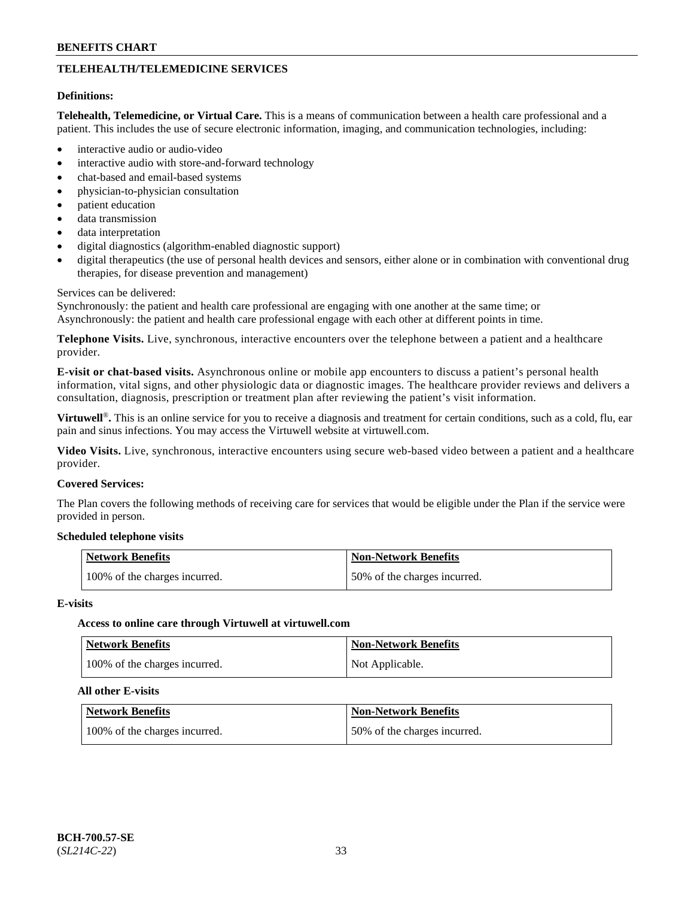## **TELEHEALTH/TELEMEDICINE SERVICES**

#### **Definitions:**

**Telehealth, Telemedicine, or Virtual Care.** This is a means of communication between a health care professional and a patient. This includes the use of secure electronic information, imaging, and communication technologies, including:

- interactive audio or audio-video
- interactive audio with store-and-forward technology
- chat-based and email-based systems
- physician-to-physician consultation
- patient education
- data transmission
- data interpretation
- digital diagnostics (algorithm-enabled diagnostic support)
- digital therapeutics (the use of personal health devices and sensors, either alone or in combination with conventional drug therapies, for disease prevention and management)

#### Services can be delivered:

Synchronously: the patient and health care professional are engaging with one another at the same time; or Asynchronously: the patient and health care professional engage with each other at different points in time.

**Telephone Visits.** Live, synchronous, interactive encounters over the telephone between a patient and a healthcare provider.

**E-visit or chat-based visits.** Asynchronous online or mobile app encounters to discuss a patient's personal health information, vital signs, and other physiologic data or diagnostic images. The healthcare provider reviews and delivers a consultation, diagnosis, prescription or treatment plan after reviewing the patient's visit information.

**Virtuwell<sup>®</sup>**. This is an online service for you to receive a diagnosis and treatment for certain conditions, such as a cold, flu, ear pain and sinus infections. You may access the Virtuwell website at [virtuwell.com.](https://www.virtuwell.com/)

**Video Visits.** Live, synchronous, interactive encounters using secure web-based video between a patient and a healthcare provider.

#### **Covered Services:**

The Plan covers the following methods of receiving care for services that would be eligible under the Plan if the service were provided in person.

#### **Scheduled telephone visits**

| <b>Network Benefits</b>       | <b>Non-Network Benefits</b>  |
|-------------------------------|------------------------------|
| 100% of the charges incurred. | 50% of the charges incurred. |

#### **E-visits**

### **Access to online care through Virtuwell at [virtuwell.com](https://www.virtuwell.com/)**

| <b>Network Benefits</b>       | <b>Non-Network Benefits</b> |
|-------------------------------|-----------------------------|
| 100% of the charges incurred. | Not Applicable.             |

#### **All other E-visits**

| <b>Network Benefits</b>       | <b>Non-Network Benefits</b>  |
|-------------------------------|------------------------------|
| 100% of the charges incurred. | 50% of the charges incurred. |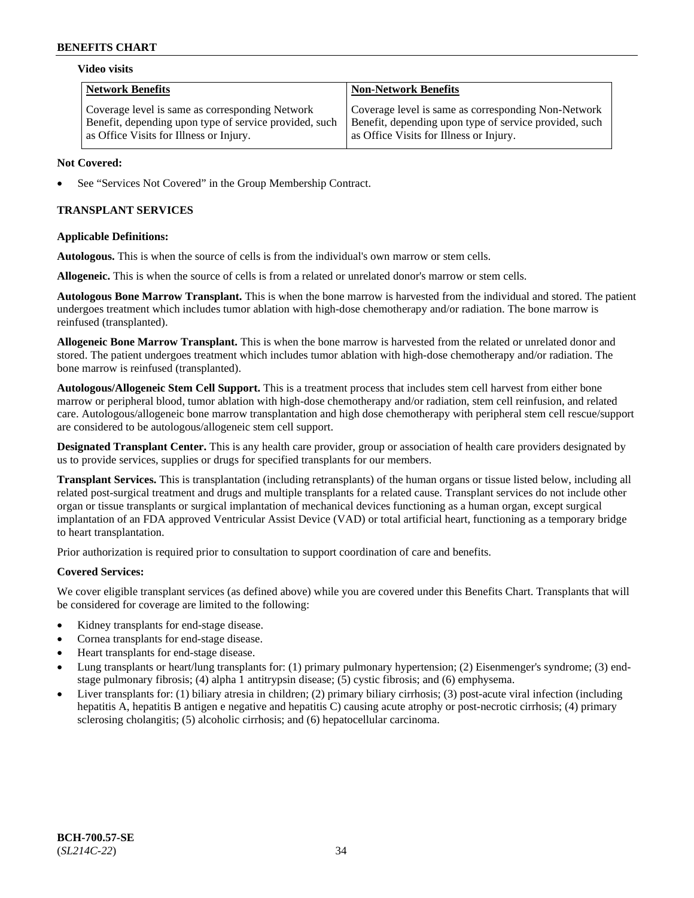#### **Video visits**

| Network Benefits                                       | <b>Non-Network Benefits</b>                            |
|--------------------------------------------------------|--------------------------------------------------------|
| Coverage level is same as corresponding Network        | Coverage level is same as corresponding Non-Network    |
| Benefit, depending upon type of service provided, such | Benefit, depending upon type of service provided, such |
| as Office Visits for Illness or Injury.                | as Office Visits for Illness or Injury.                |

### **Not Covered:**

See "Services Not Covered" in the Group Membership Contract.

## **TRANSPLANT SERVICES**

### **Applicable Definitions:**

**Autologous.** This is when the source of cells is from the individual's own marrow or stem cells.

**Allogeneic.** This is when the source of cells is from a related or unrelated donor's marrow or stem cells.

**Autologous Bone Marrow Transplant.** This is when the bone marrow is harvested from the individual and stored. The patient undergoes treatment which includes tumor ablation with high-dose chemotherapy and/or radiation. The bone marrow is reinfused (transplanted).

**Allogeneic Bone Marrow Transplant.** This is when the bone marrow is harvested from the related or unrelated donor and stored. The patient undergoes treatment which includes tumor ablation with high-dose chemotherapy and/or radiation. The bone marrow is reinfused (transplanted).

**Autologous/Allogeneic Stem Cell Support.** This is a treatment process that includes stem cell harvest from either bone marrow or peripheral blood, tumor ablation with high-dose chemotherapy and/or radiation, stem cell reinfusion, and related care. Autologous/allogeneic bone marrow transplantation and high dose chemotherapy with peripheral stem cell rescue/support are considered to be autologous/allogeneic stem cell support.

**Designated Transplant Center.** This is any health care provider, group or association of health care providers designated by us to provide services, supplies or drugs for specified transplants for our members.

**Transplant Services.** This is transplantation (including retransplants) of the human organs or tissue listed below, including all related post-surgical treatment and drugs and multiple transplants for a related cause. Transplant services do not include other organ or tissue transplants or surgical implantation of mechanical devices functioning as a human organ, except surgical implantation of an FDA approved Ventricular Assist Device (VAD) or total artificial heart, functioning as a temporary bridge to heart transplantation.

Prior authorization is required prior to consultation to support coordination of care and benefits.

### **Covered Services:**

We cover eligible transplant services (as defined above) while you are covered under this Benefits Chart. Transplants that will be considered for coverage are limited to the following:

- Kidney transplants for end-stage disease.
- Cornea transplants for end-stage disease.
- Heart transplants for end-stage disease.
- Lung transplants or heart/lung transplants for: (1) primary pulmonary hypertension; (2) Eisenmenger's syndrome; (3) endstage pulmonary fibrosis; (4) alpha 1 antitrypsin disease; (5) cystic fibrosis; and (6) emphysema.
- Liver transplants for: (1) biliary atresia in children; (2) primary biliary cirrhosis; (3) post-acute viral infection (including hepatitis A, hepatitis B antigen e negative and hepatitis C) causing acute atrophy or post-necrotic cirrhosis; (4) primary sclerosing cholangitis; (5) alcoholic cirrhosis; and (6) hepatocellular carcinoma.